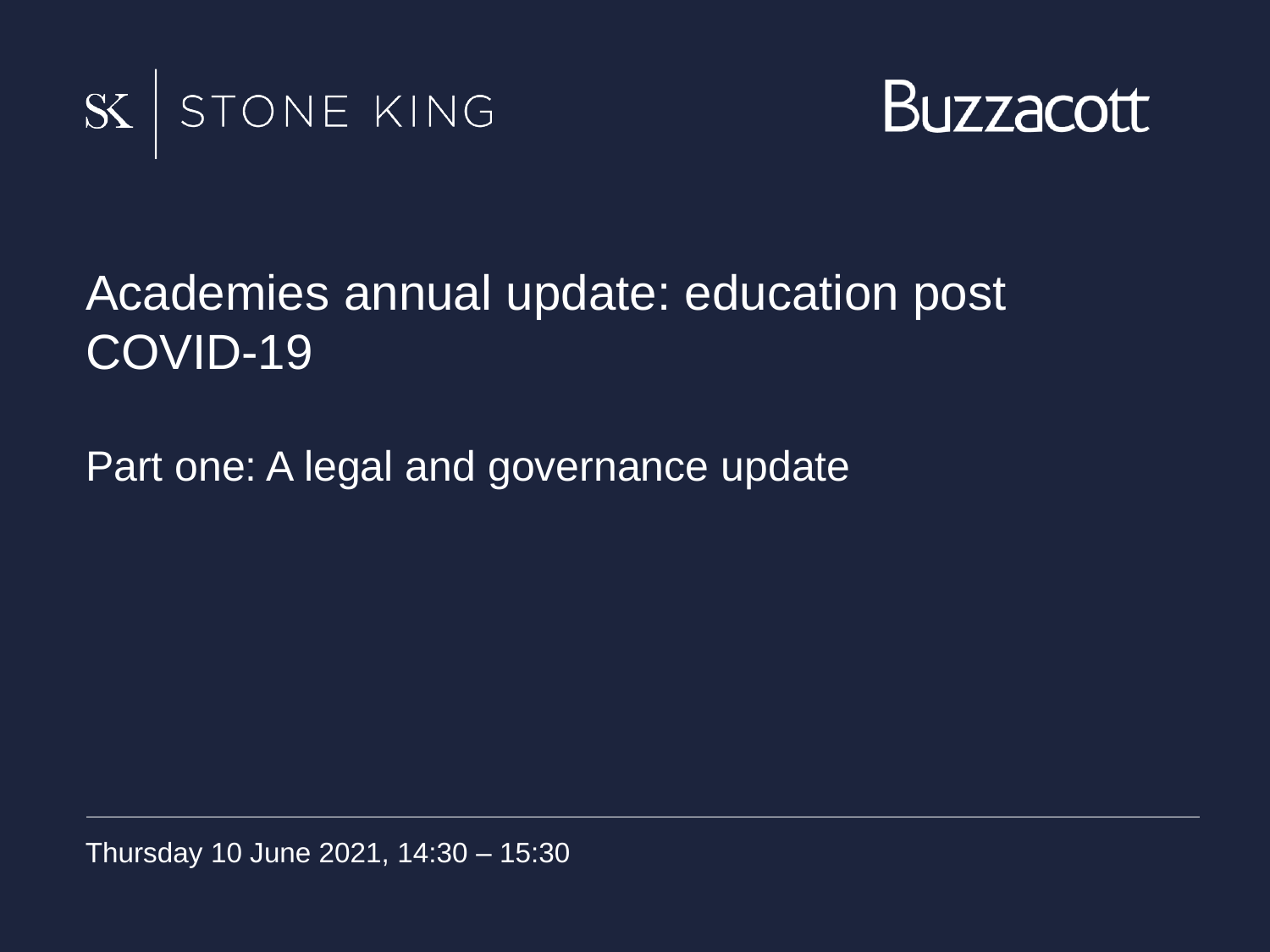



#### Academies annual update: education post COVID-19

Part one: A legal and governance update

Thursday 10 June 2021, 14:30 – 15:30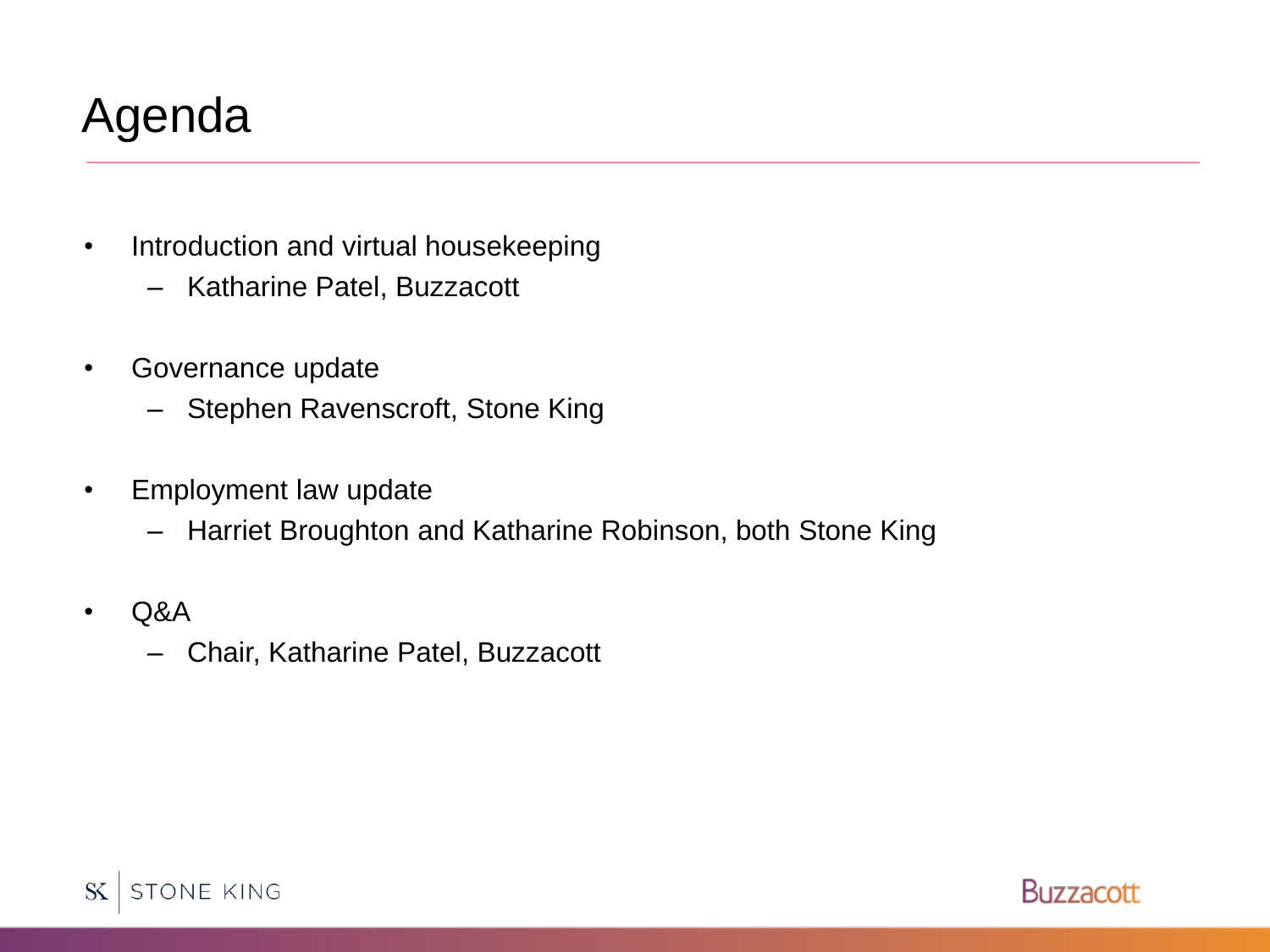# Agenda

- Introduction and virtual housekeeping
	- Katharine Patel, Buzzacott
- Governance update
	- Stephen Ravenscroft, Stone King
- Employment law update
	- Harriet Broughton and Katharine Robinson, both Stone King
- Q&A
	- Chair, Katharine Patel, Buzzacott



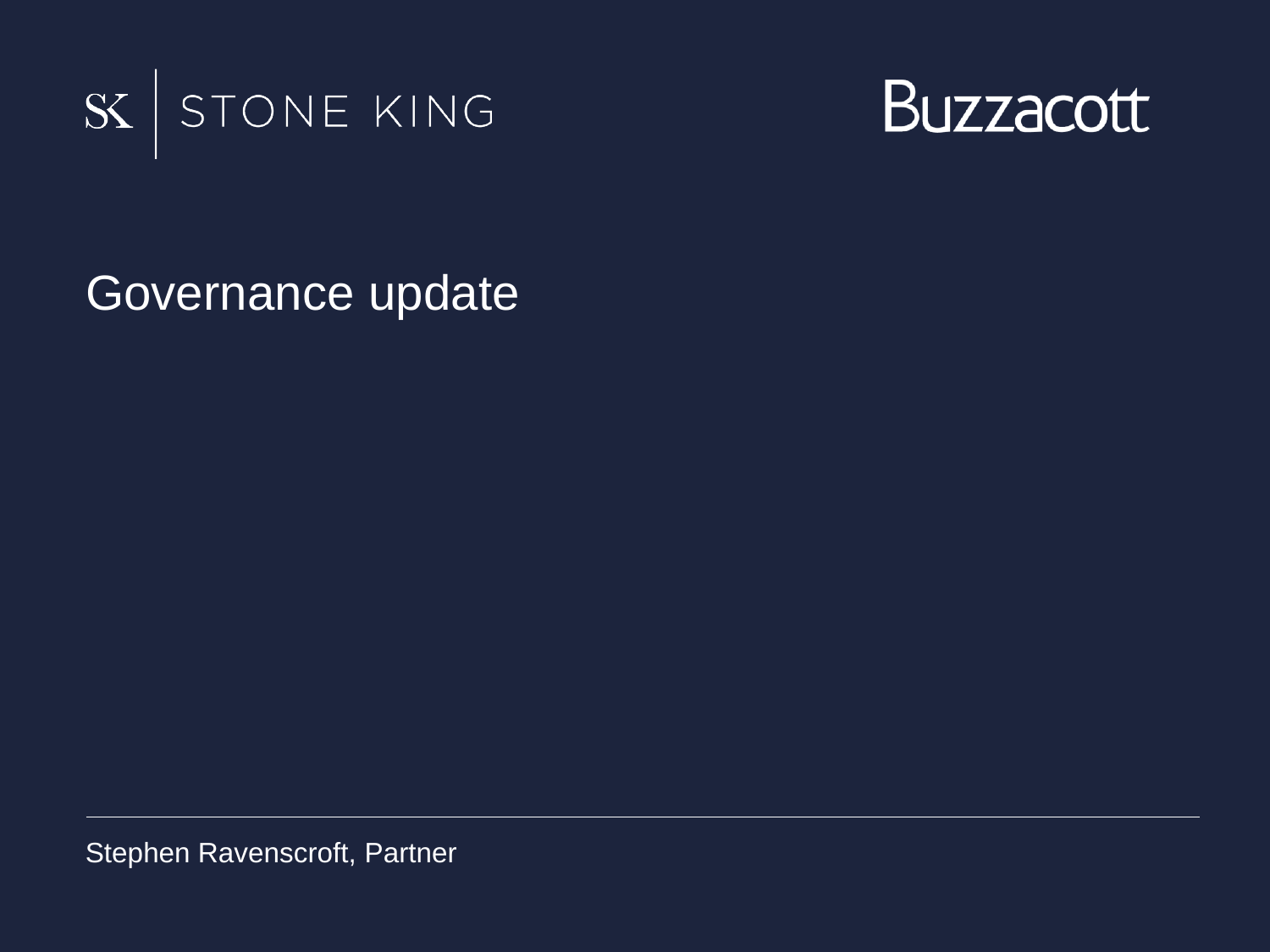



Governance update

Stephen Ravenscroft, Partner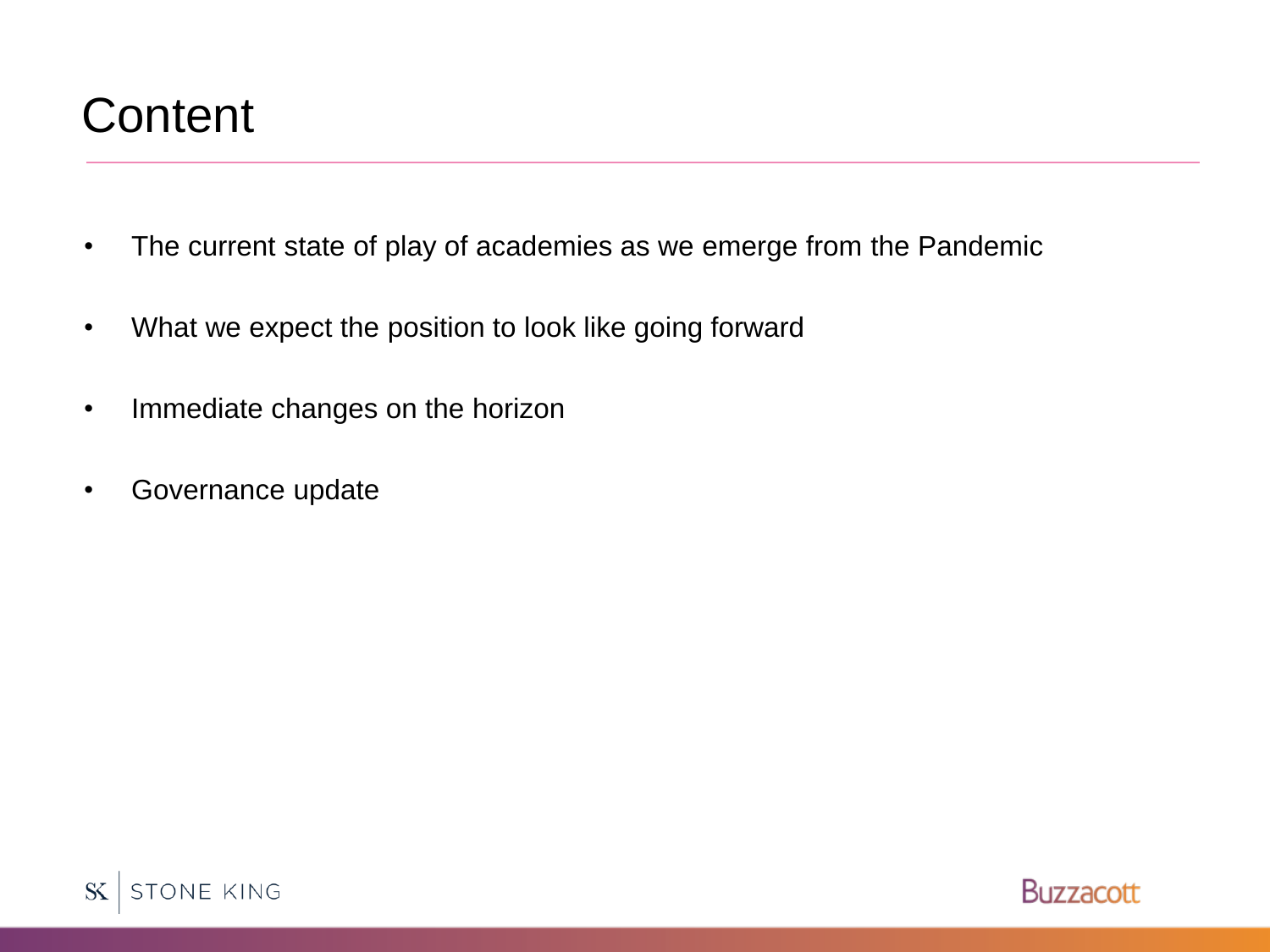### **Content**

- The current state of play of academies as we emerge from the Pandemic
- What we expect the position to look like going forward
- Immediate changes on the horizon
- Governance update



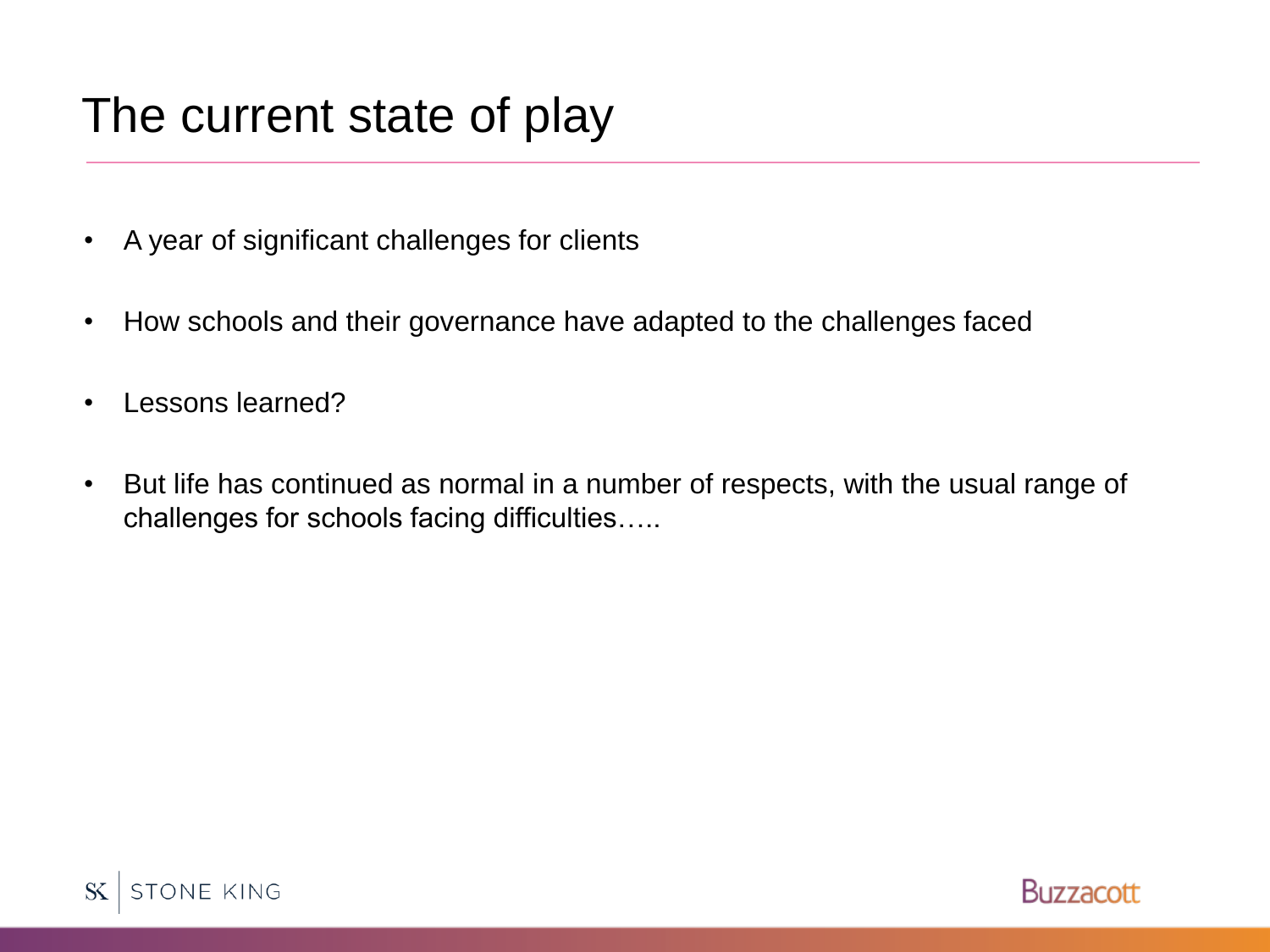### The current state of play

- A year of significant challenges for clients
- How schools and their governance have adapted to the challenges faced
- Lessons learned?
- But life has continued as normal in a number of respects, with the usual range of challenges for schools facing difficulties…..



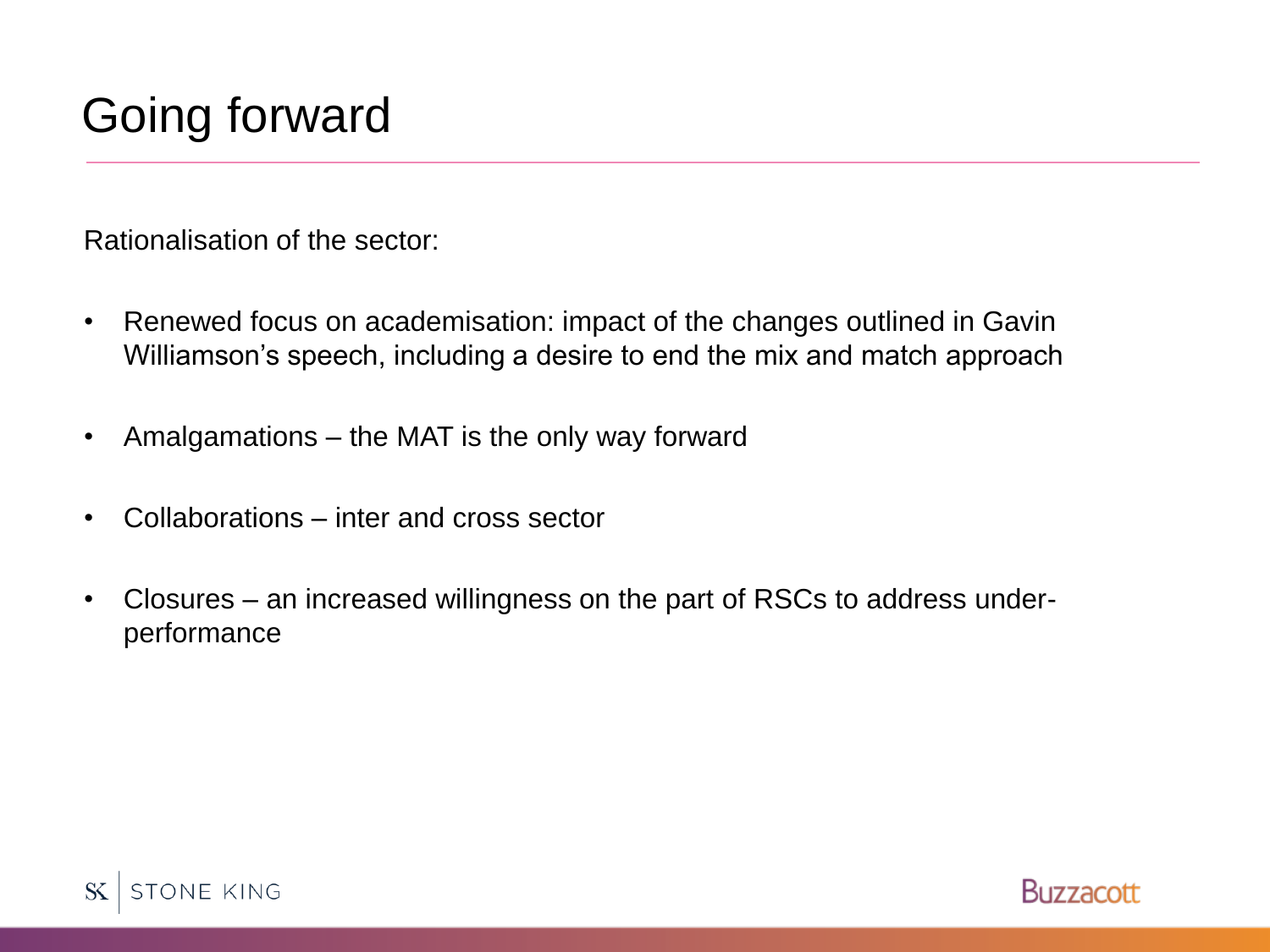# Going forward

Rationalisation of the sector:

- Renewed focus on academisation: impact of the changes outlined in Gavin Williamson's speech, including a desire to end the mix and match approach
- Amalgamations the MAT is the only way forward
- Collaborations inter and cross sector
- Closures an increased willingness on the part of RSCs to address underperformance



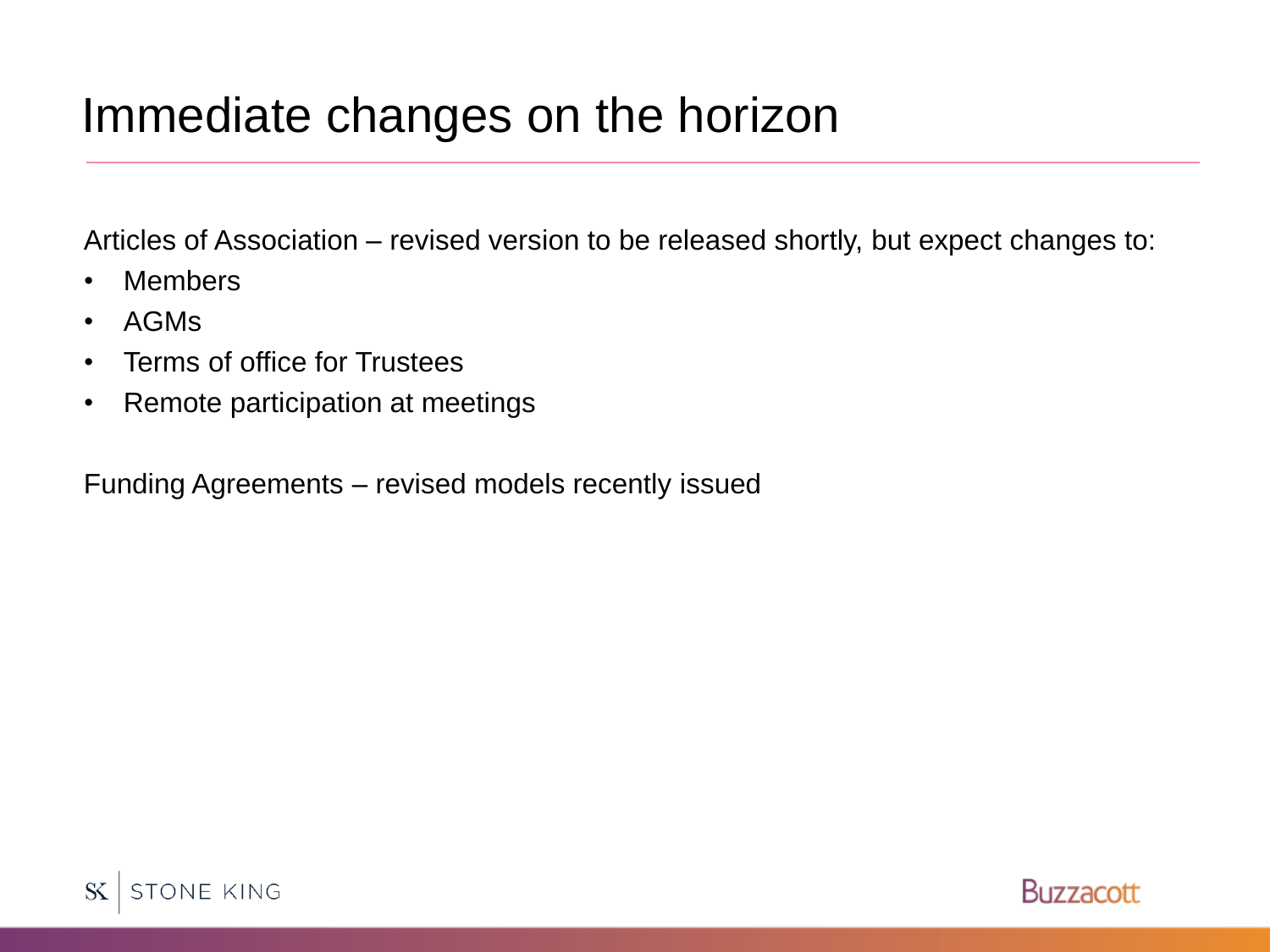#### Immediate changes on the horizon

Articles of Association – revised version to be released shortly, but expect changes to:

- Members
- AGMs
- Terms of office for Trustees
- Remote participation at meetings

Funding Agreements – revised models recently issued



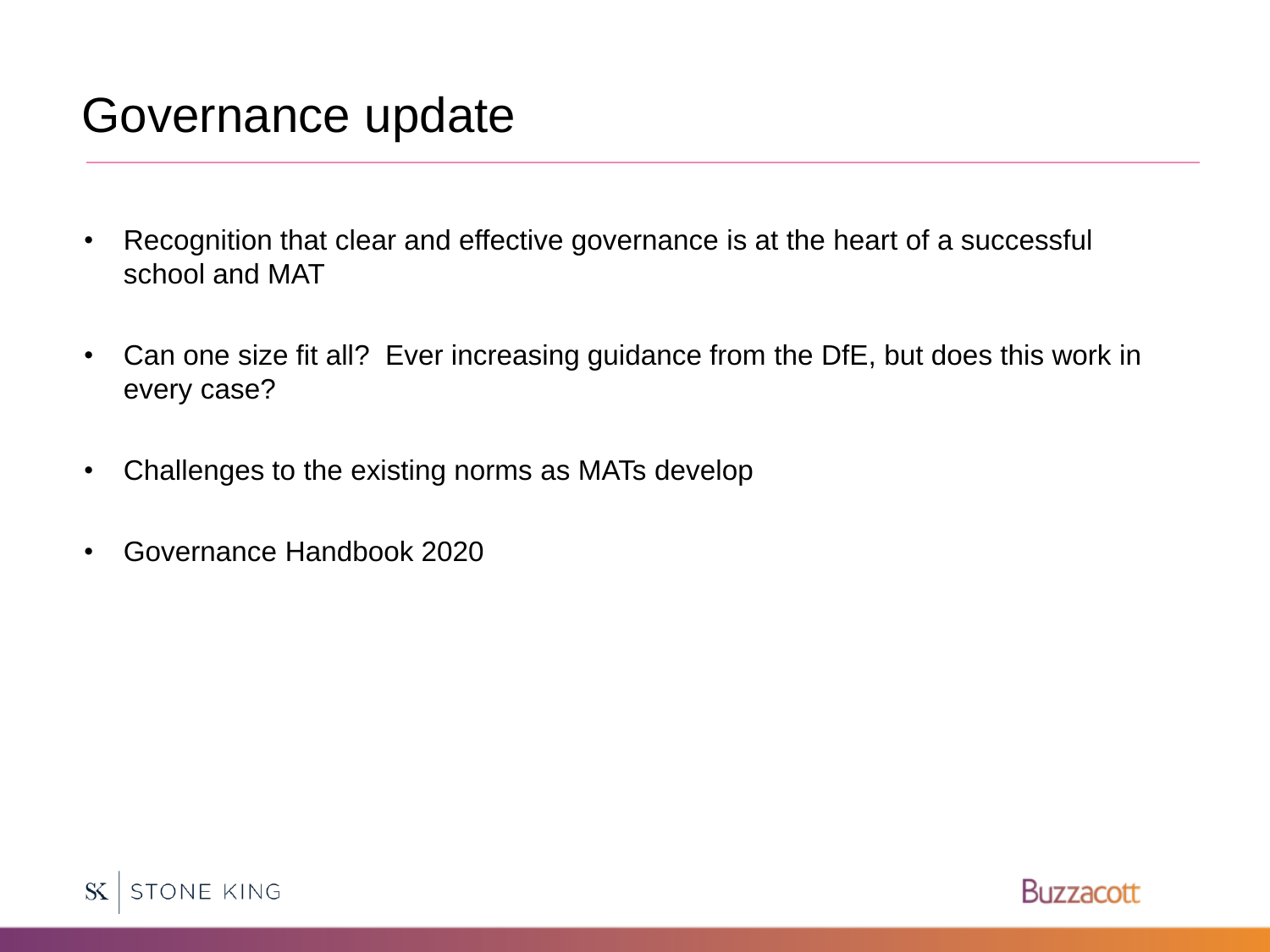### Governance update

- Recognition that clear and effective governance is at the heart of a successful school and MAT
- Can one size fit all? Ever increasing guidance from the DfE, but does this work in every case?
- Challenges to the existing norms as MATs develop
- Governance Handbook 2020

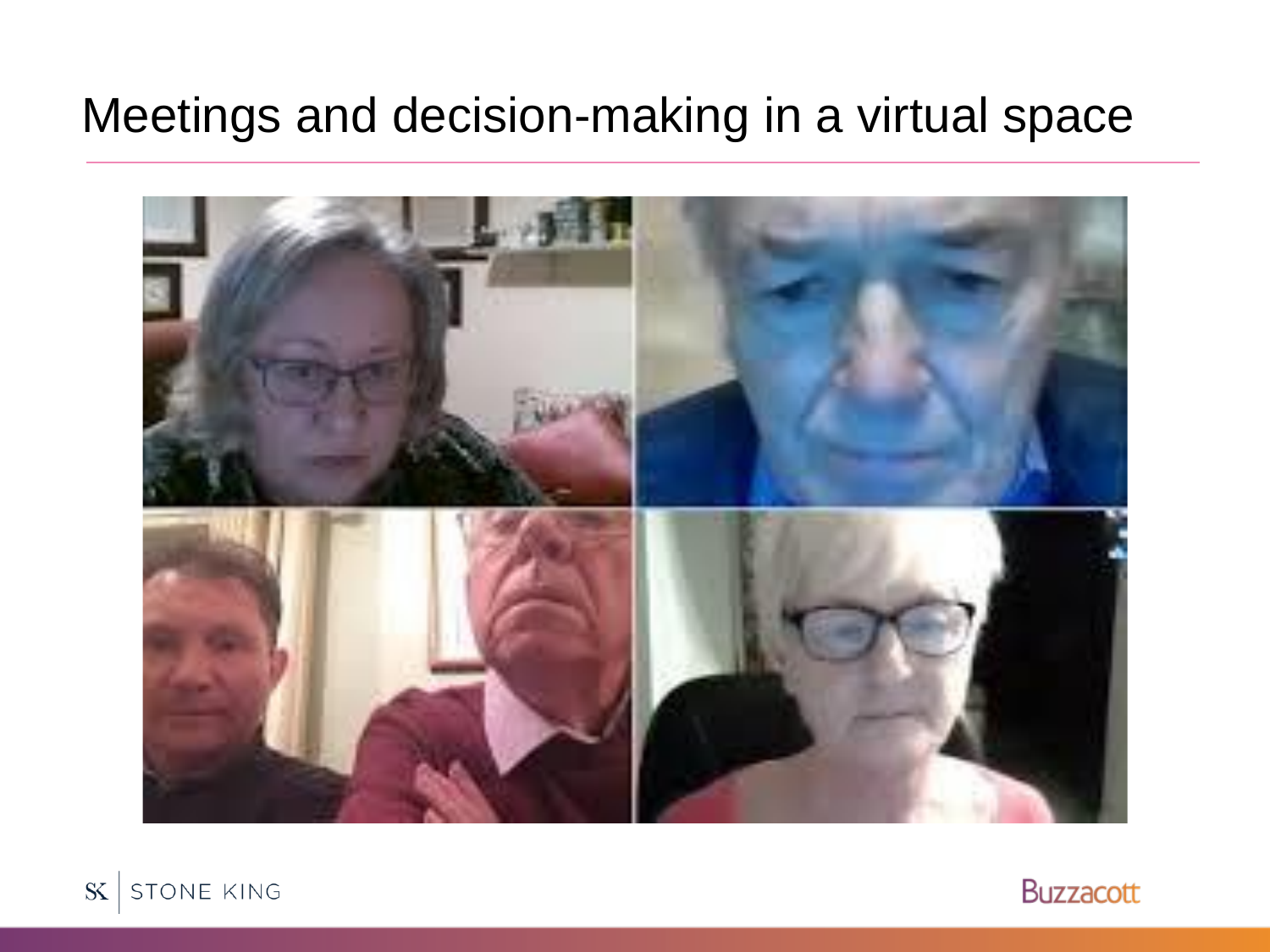#### Meetings and decision-making in a virtual space





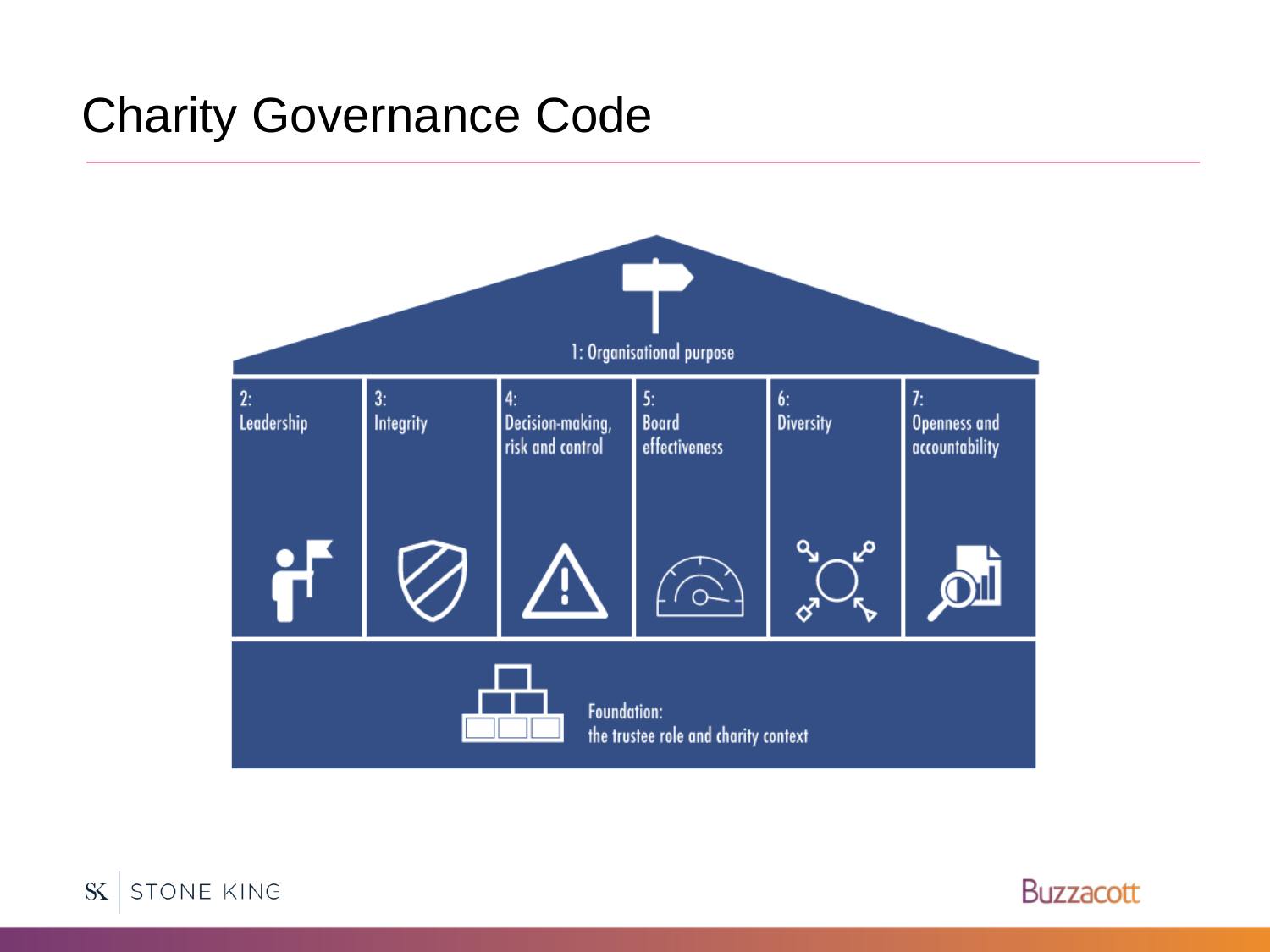#### Charity Governance Code





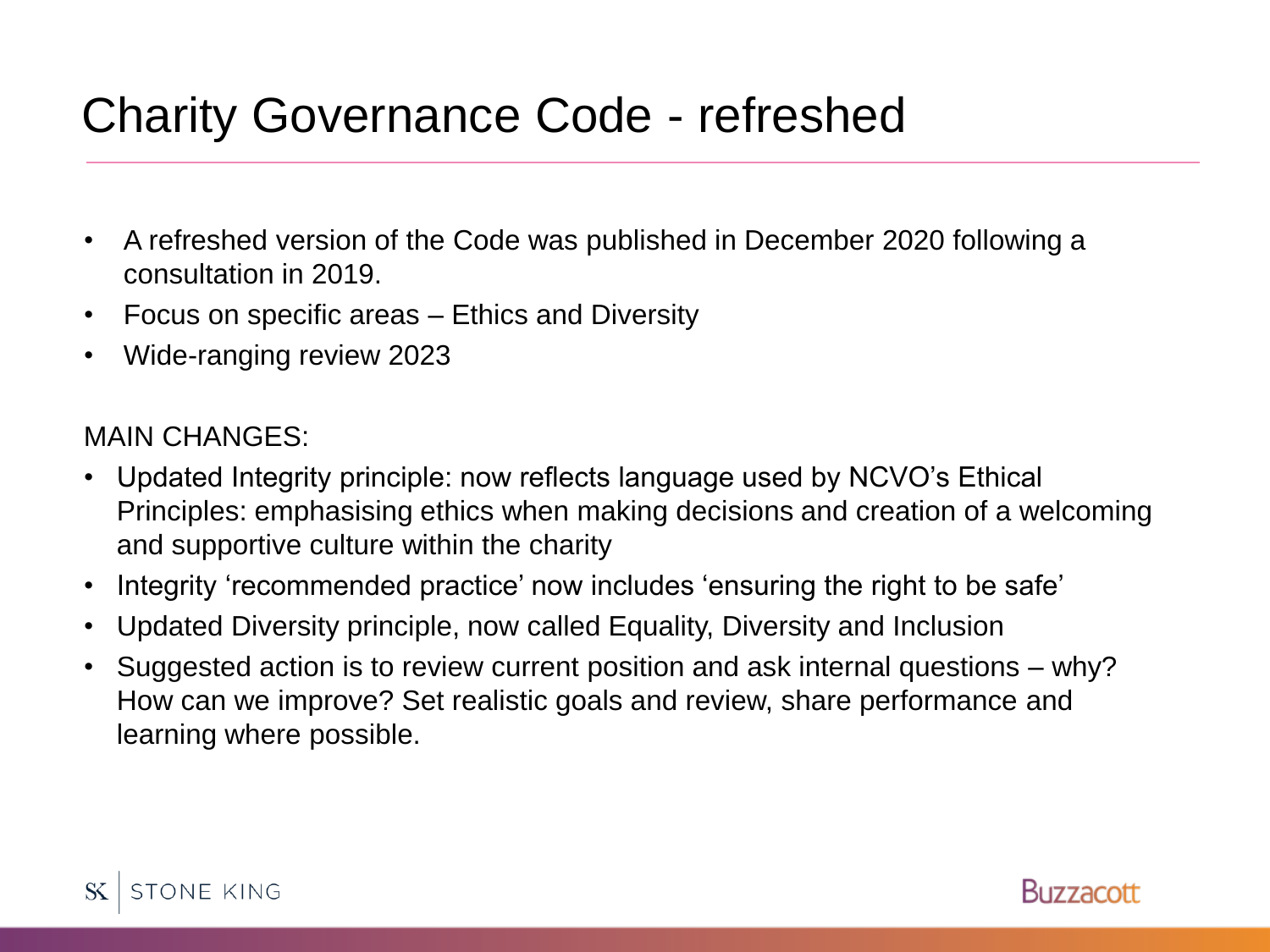# Charity Governance Code - refreshed

- A refreshed version of the Code was published in December 2020 following a consultation in 2019.
- Focus on specific areas Ethics and Diversity
- Wide-ranging review 2023

#### MAIN CHANGES:

- Updated Integrity principle: now reflects language used by NCVO's Ethical Principles: emphasising ethics when making decisions and creation of a welcoming and supportive culture within the charity
- Integrity 'recommended practice' now includes 'ensuring the right to be safe'
- Updated Diversity principle, now called Equality, Diversity and Inclusion
- Suggested action is to review current position and ask internal questions why? How can we improve? Set realistic goals and review, share performance and learning where possible.



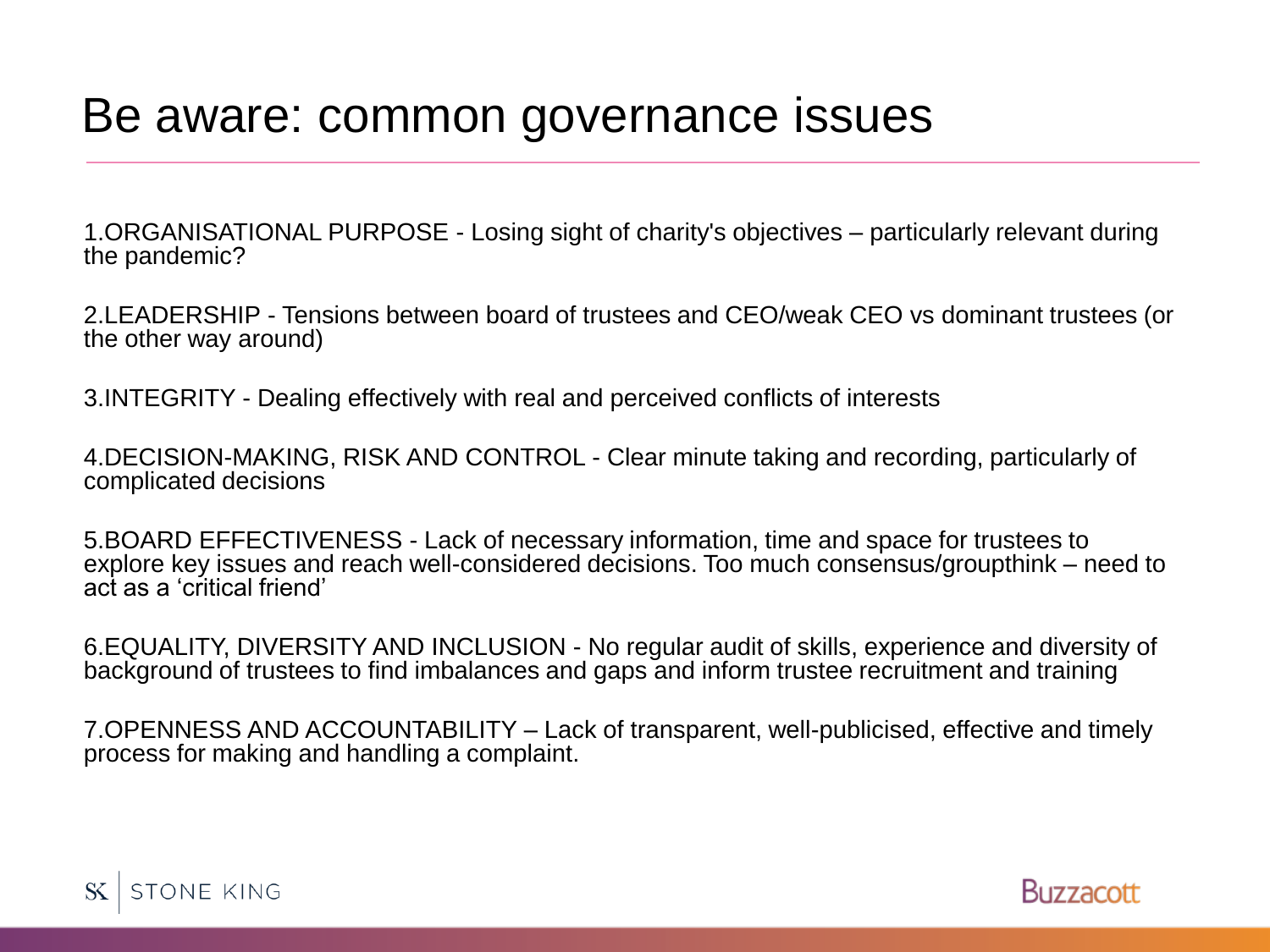#### Be aware: common governance issues

1.ORGANISATIONAL PURPOSE - Losing sight of charity's objectives – particularly relevant during the pandemic?

2.LEADERSHIP - Tensions between board of trustees and CEO/weak CEO vs dominant trustees (or the other way around)

3.INTEGRITY - Dealing effectively with real and perceived conflicts of interests

4.DECISION-MAKING, RISK AND CONTROL - Clear minute taking and recording, particularly of complicated decisions

5.BOARD EFFECTIVENESS - Lack of necessary information, time and space for trustees to explore key issues and reach well-considered decisions. Too much consensus/groupthink – need to act as a 'critical friend'

6.EQUALITY, DIVERSITY AND INCLUSION - No regular audit of skills, experience and diversity of background of trustees to find imbalances and gaps and inform trustee recruitment and training

7.OPENNESS AND ACCOUNTABILITY – Lack of transparent, well-publicised, effective and timely process for making and handling a complaint.



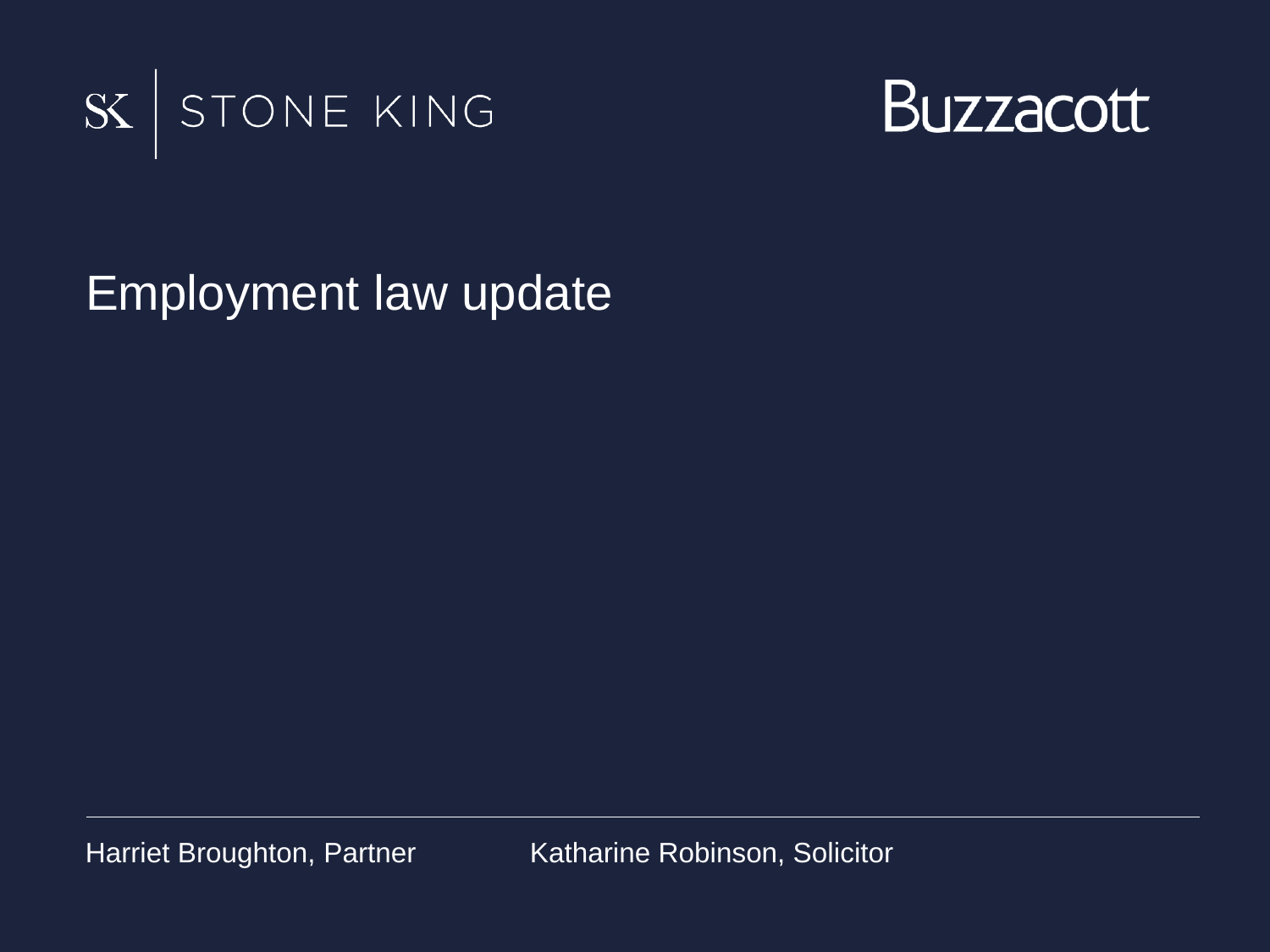



Employment law update

Harriet Broughton, Partner Katharine Robinson, Solicitor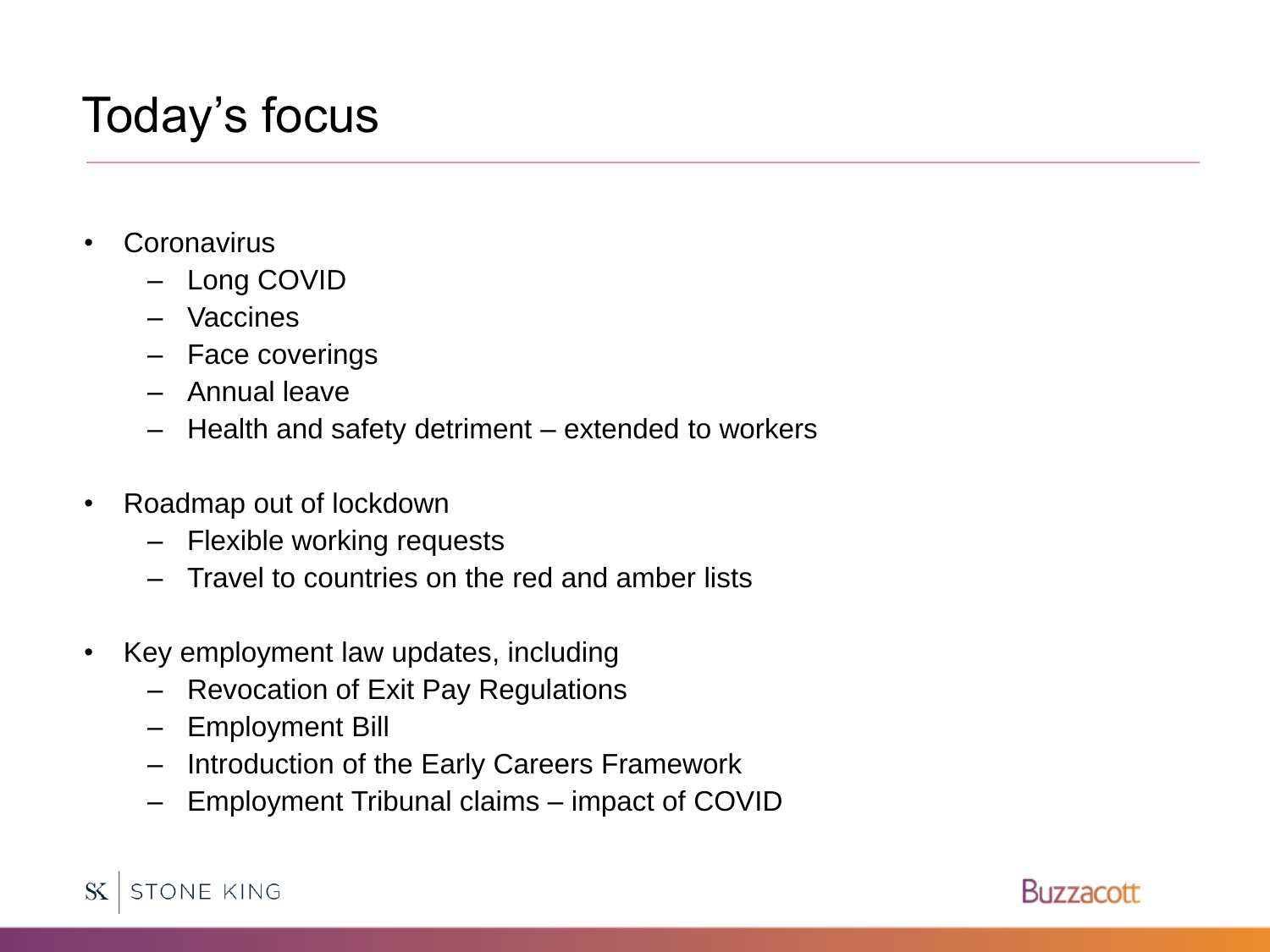### Today's focus

- Coronavirus
	- Long COVID
	- Vaccines
	- Face coverings
	- Annual leave
	- Health and safety detriment extended to workers
- Roadmap out of lockdown
	- Flexible working requests
	- Travel to countries on the red and amber lists
- Key employment law updates, including
	- Revocation of Exit Pay Regulations
	- Employment Bill
	- Introduction of the Early Careers Framework
	- Employment Tribunal claims impact of COVID

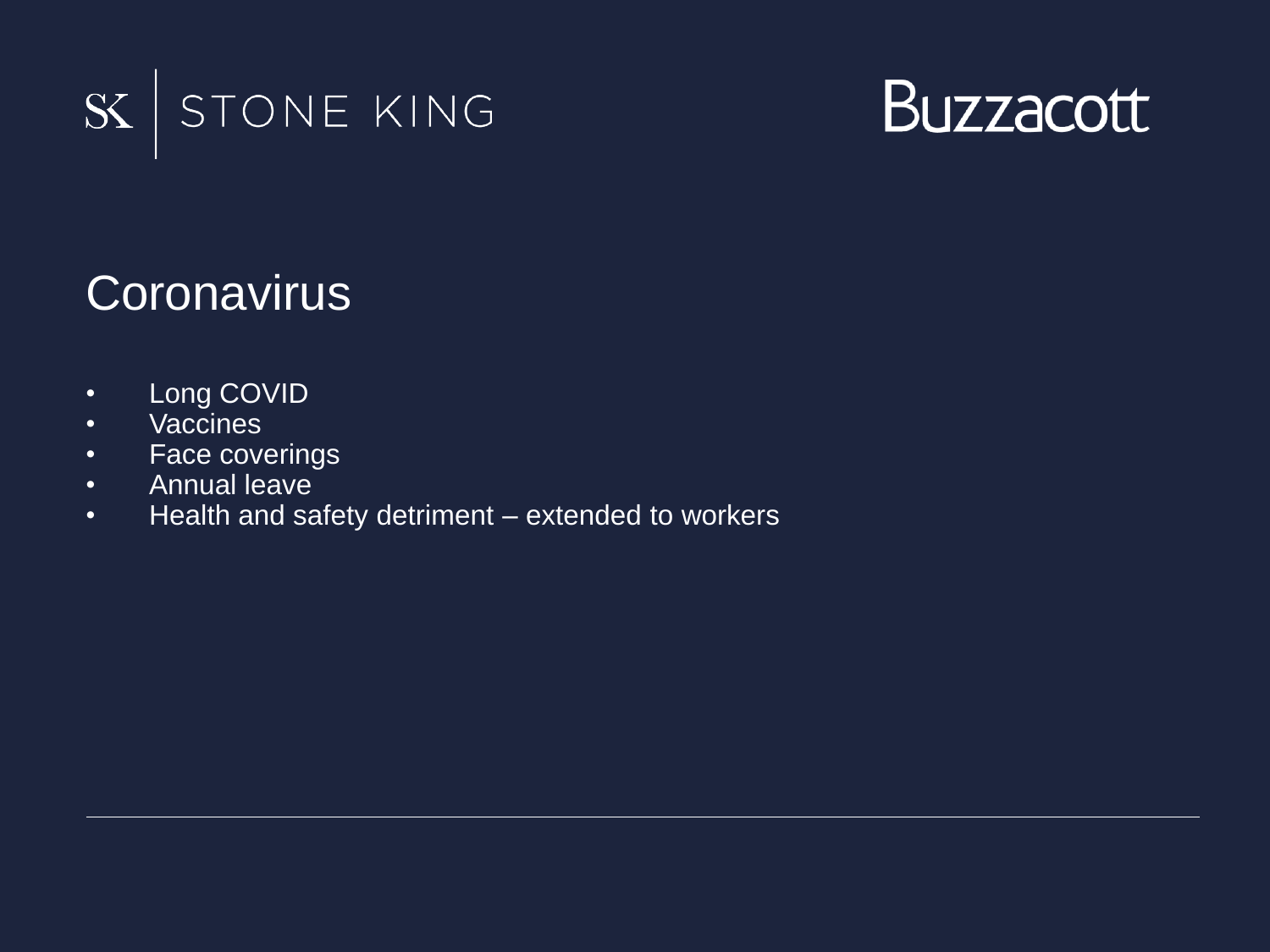



### **Coronavirus**

- Long COVID
- Vaccines
- Face coverings
- Annual leave
- Health and safety detriment extended to workers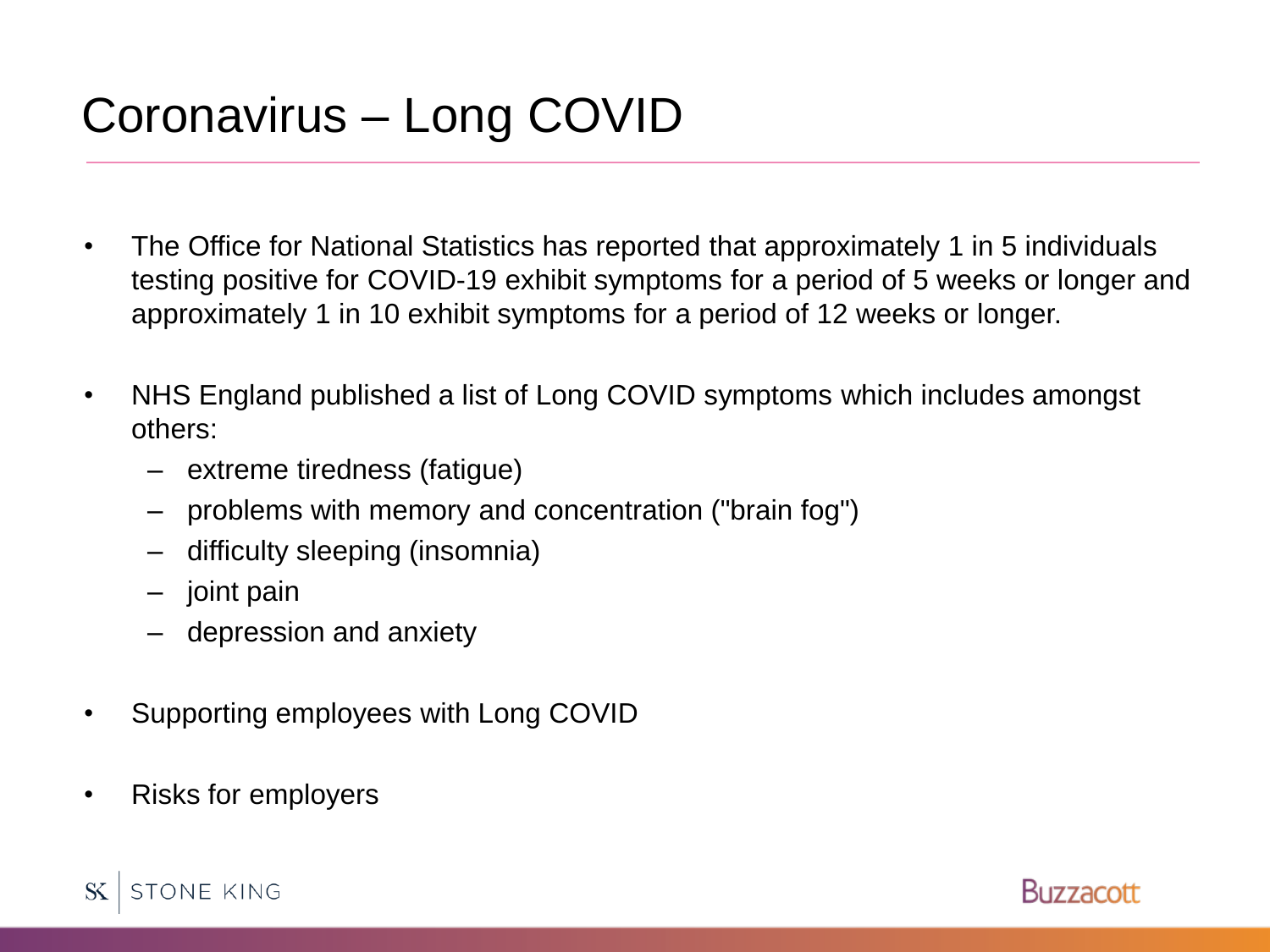# Coronavirus – Long COVID

- The Office for National Statistics has reported that approximately 1 in 5 individuals testing positive for COVID-19 exhibit symptoms for a period of 5 weeks or longer and approximately 1 in 10 exhibit symptoms for a period of 12 weeks or longer.
- NHS England published a list of Long COVID symptoms which includes amongst others:
	- extreme tiredness (fatigue)
	- problems with memory and concentration ("brain fog")
	- difficulty sleeping (insomnia)
	- joint pain
	- depression and anxiety
- Supporting employees with Long COVID
- Risks for employers



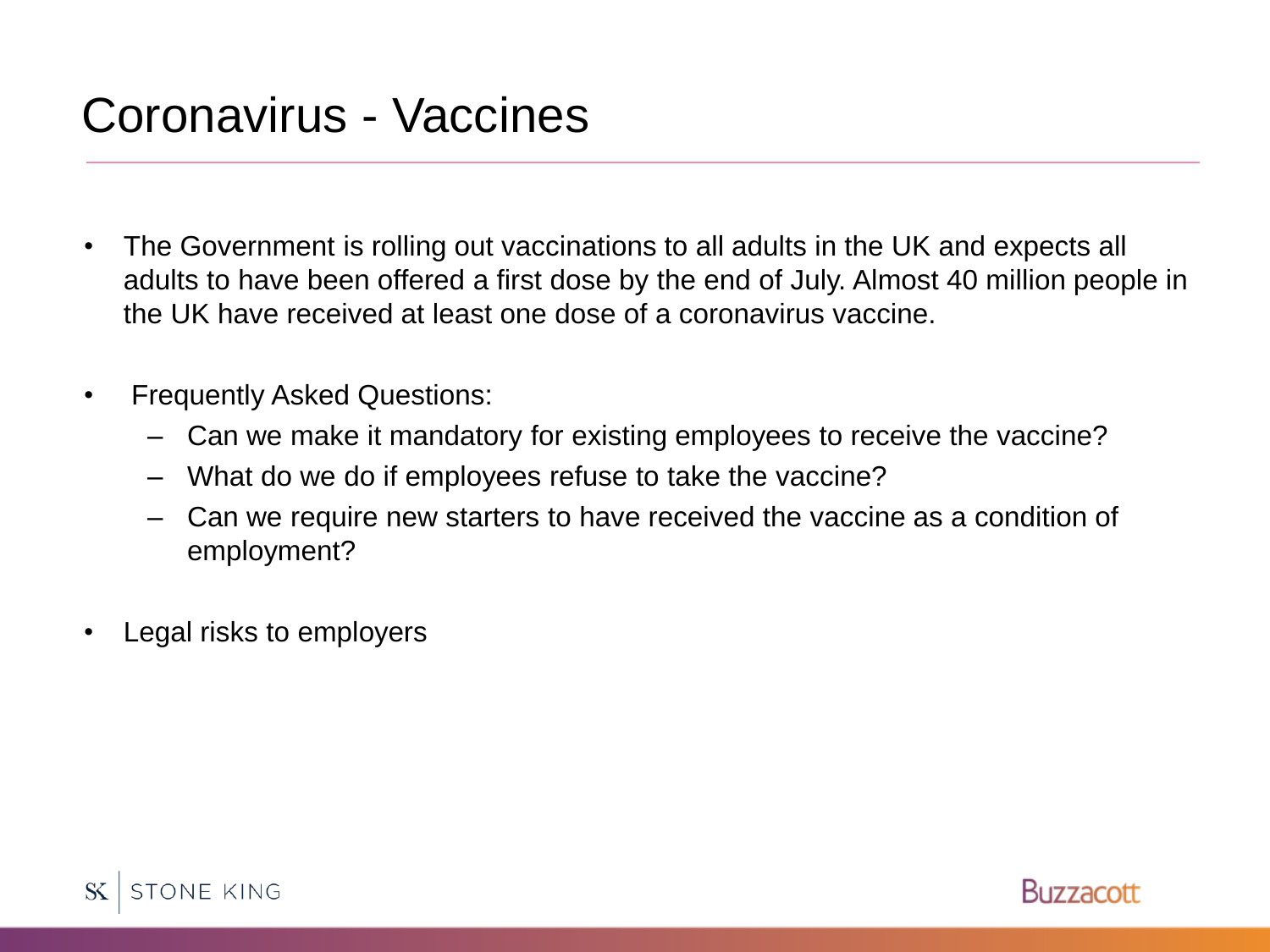### Coronavirus - Vaccines

- The Government is rolling out vaccinations to all adults in the UK and expects all adults to have been offered a first dose by the end of July. Almost 40 million people in the UK have received at least one dose of a coronavirus vaccine.
- Frequently Asked Questions:
	- Can we make it mandatory for existing employees to receive the vaccine?
	- What do we do if employees refuse to take the vaccine?
	- Can we require new starters to have received the vaccine as a condition of employment?
- Legal risks to employers



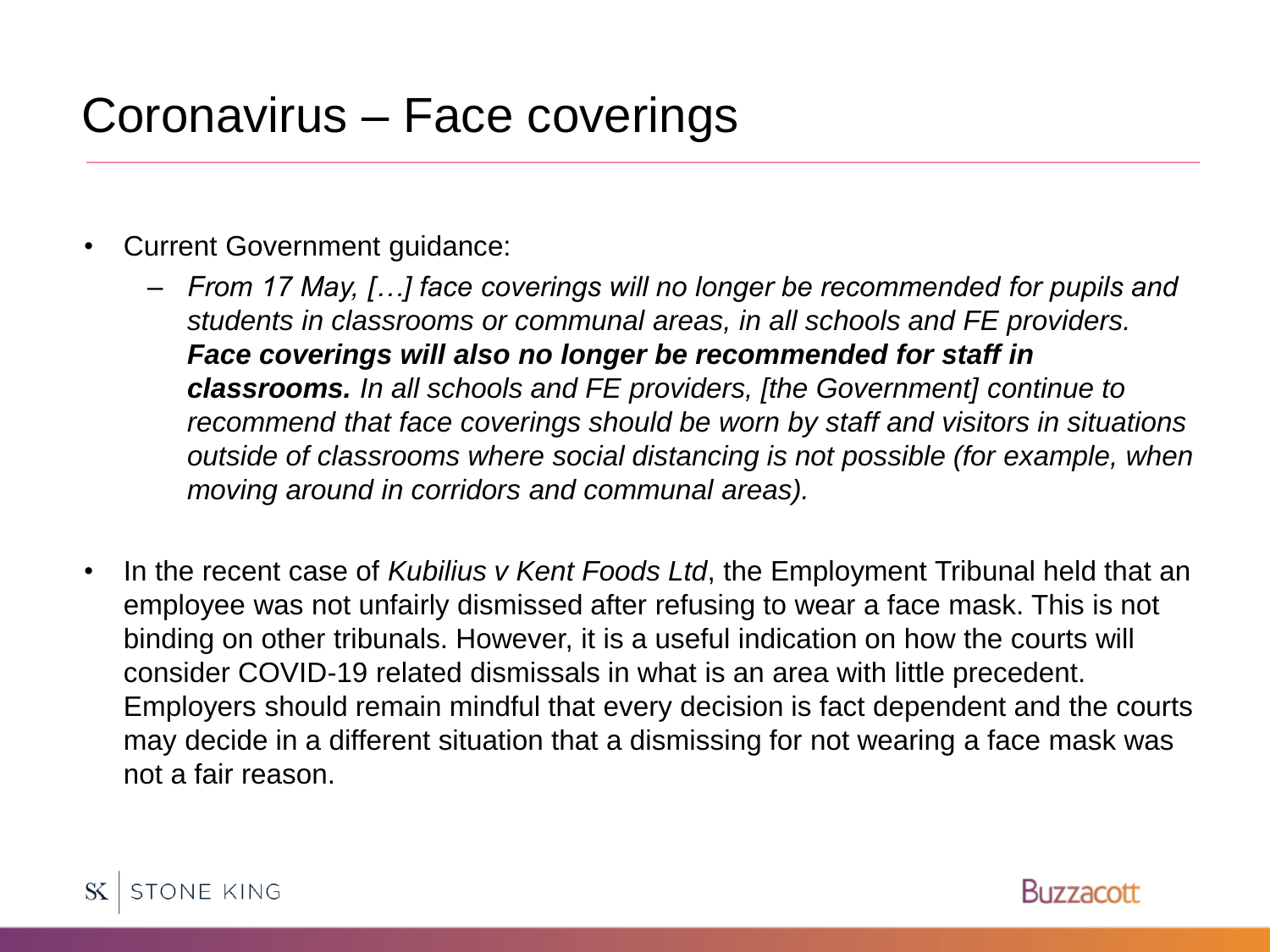### Coronavirus – Face coverings

- Current Government guidance:
	- *From 17 May, […] face coverings will no longer be recommended for pupils and students in classrooms or communal areas, in all schools and FE providers. Face coverings will also no longer be recommended for staff in classrooms. In all schools and FE providers, [the Government] continue to recommend that face coverings should be worn by staff and visitors in situations outside of classrooms where social distancing is not possible (for example, when moving around in corridors and communal areas).*
- In the recent case of *Kubilius v Kent Foods Ltd*, the Employment Tribunal held that an employee was not unfairly dismissed after refusing to wear a face mask. This is not binding on other tribunals. However, it is a useful indication on how the courts will consider COVID-19 related dismissals in what is an area with little precedent. Employers should remain mindful that every decision is fact dependent and the courts may decide in a different situation that a dismissing for not wearing a face mask was not a fair reason.

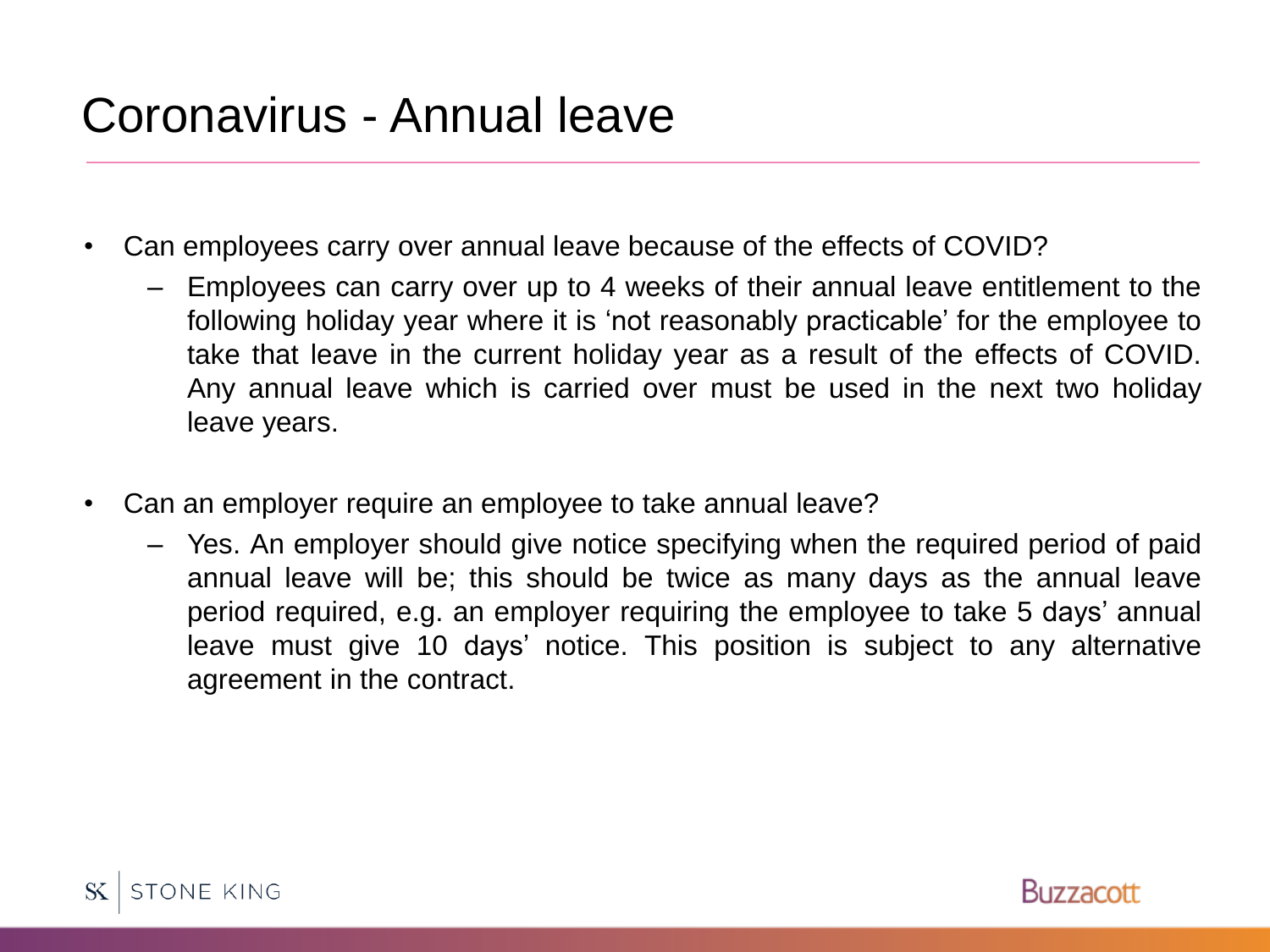# Coronavirus - Annual leave

- Can employees carry over annual leave because of the effects of COVID?
	- Employees can carry over up to 4 weeks of their annual leave entitlement to the following holiday year where it is 'not reasonably practicable' for the employee to take that leave in the current holiday year as a result of the effects of COVID. Any annual leave which is carried over must be used in the next two holiday leave years.
- Can an employer require an employee to take annual leave?
	- Yes. An employer should give notice specifying when the required period of paid annual leave will be; this should be twice as many days as the annual leave period required, e.g. an employer requiring the employee to take 5 days' annual leave must give 10 days' notice. This position is subject to any alternative agreement in the contract.



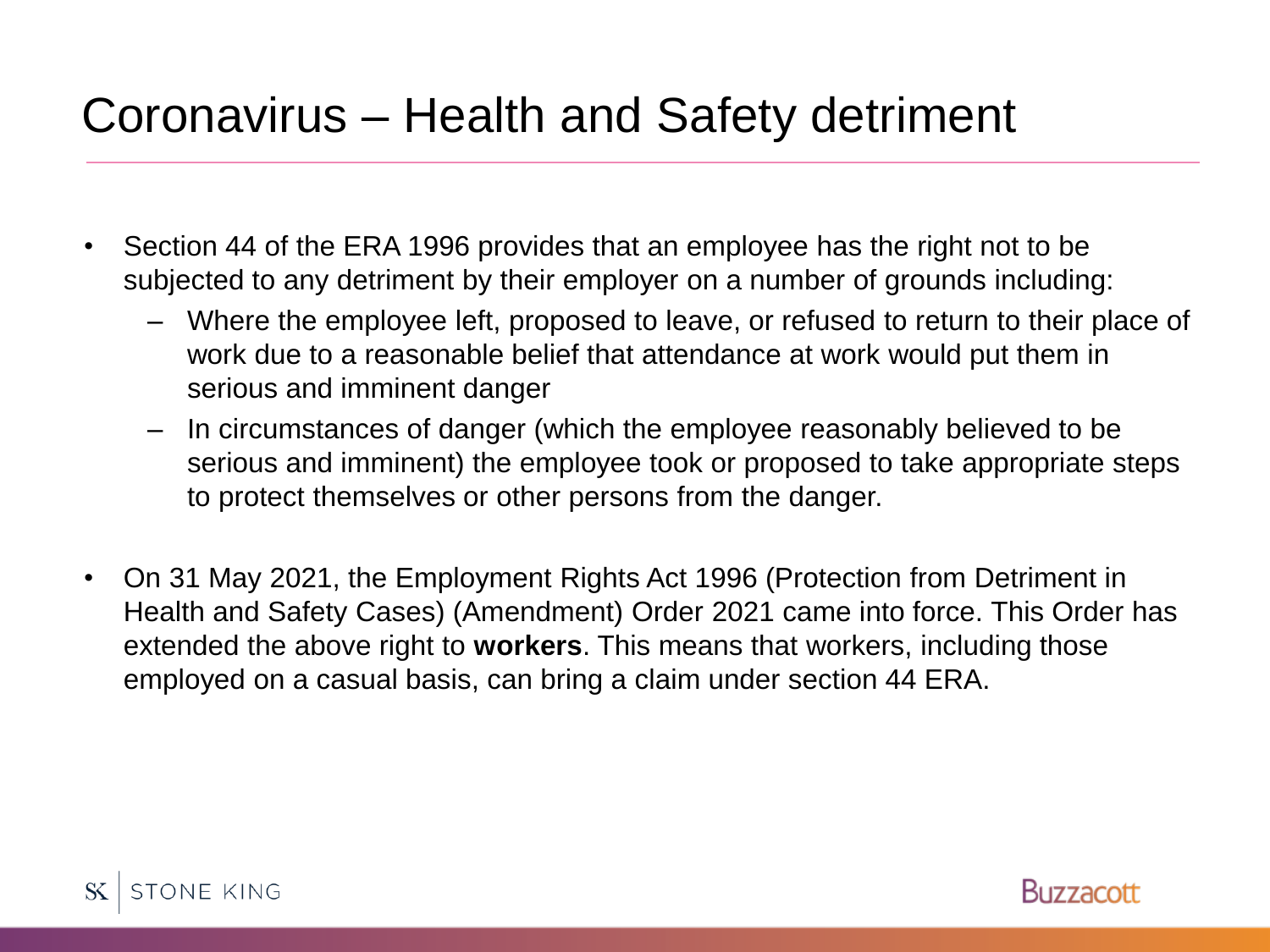# Coronavirus – Health and Safety detriment

- Section 44 of the ERA 1996 provides that an employee has the right not to be subjected to any detriment by their employer on a number of grounds including:
	- Where the employee left, proposed to leave, or refused to return to their place of work due to a reasonable belief that attendance at work would put them in serious and imminent danger
	- In circumstances of danger (which the employee reasonably believed to be serious and imminent) the employee took or proposed to take appropriate steps to protect themselves or other persons from the danger.
- On 31 May 2021, the Employment Rights Act 1996 (Protection from Detriment in Health and Safety Cases) (Amendment) Order 2021 came into force. This Order has extended the above right to **workers**. This means that workers, including those employed on a casual basis, can bring a claim under section 44 ERA.



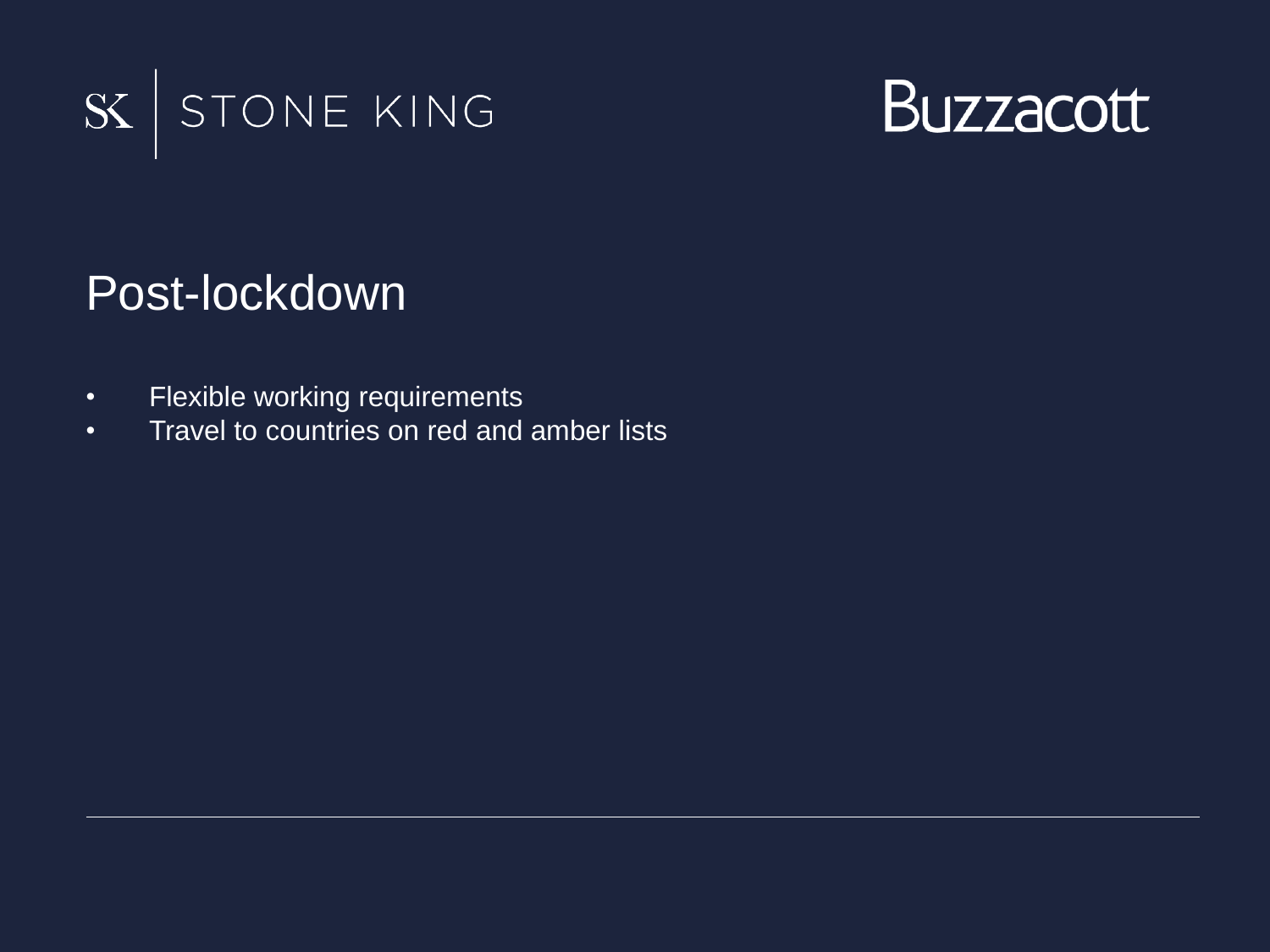



#### Post-lockdown

- Flexible working requirements
- Travel to countries on red and amber lists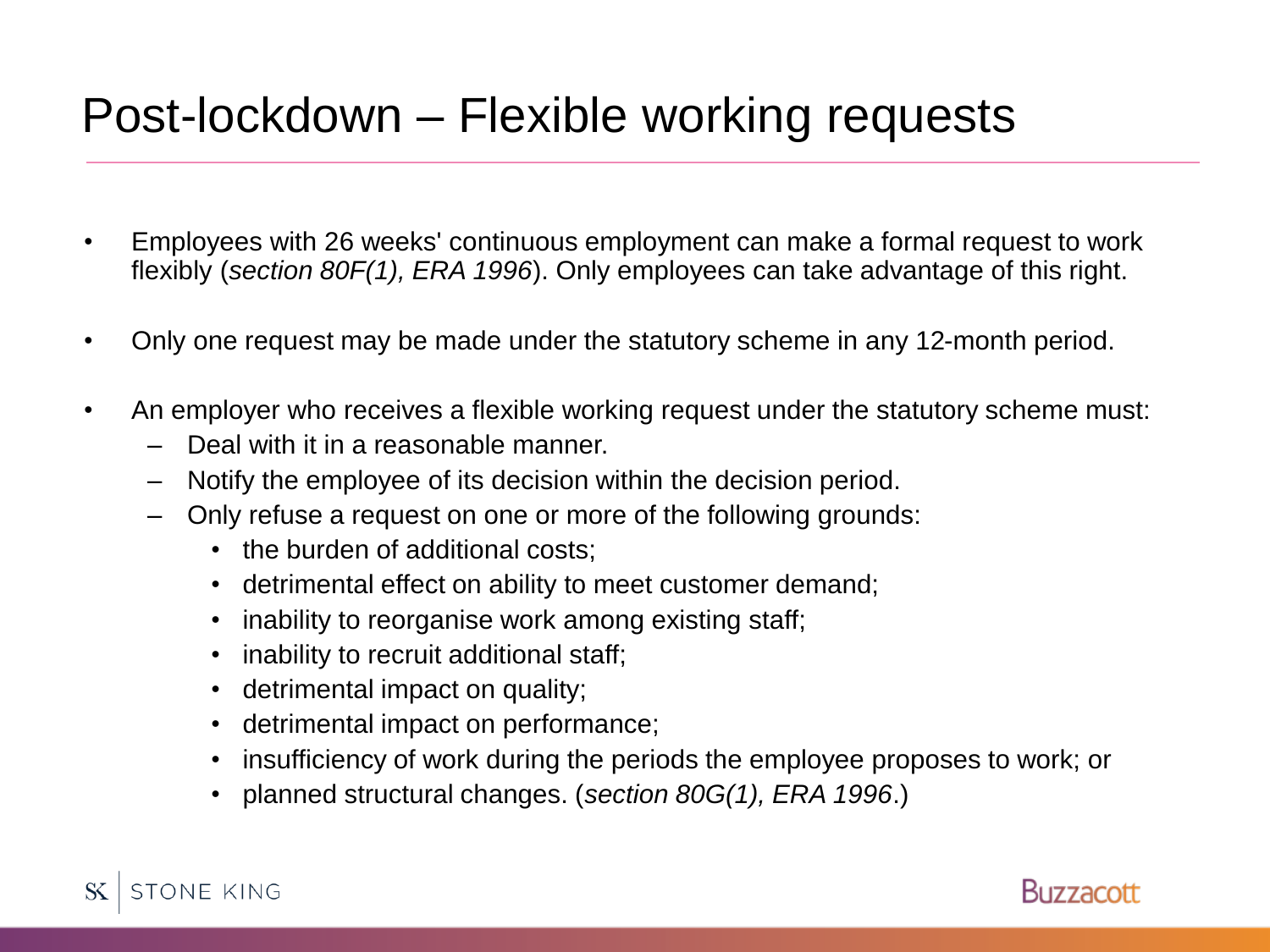#### Post-lockdown – Flexible working requests

- Employees with 26 weeks' continuous employment can make a formal request to work flexibly (*section 80F(1), ERA 1996*). Only employees can take advantage of this right.
- Only one request may be made under the statutory scheme in any 12-month period.
- An employer who receives a flexible working request under the statutory scheme must:
	- Deal with it in a reasonable manner.
	- Notify the employee of its decision within the decision period.
	- Only refuse a request on one or more of the following grounds:
		- the burden of additional costs:
		- detrimental effect on ability to meet customer demand;
		- inability to reorganise work among existing staff;
		- inability to recruit additional staff;
		- detrimental impact on quality;
		- detrimental impact on performance;
		- insufficiency of work during the periods the employee proposes to work; or
		- planned structural changes. (*section 80G(1), ERA 1996*.)

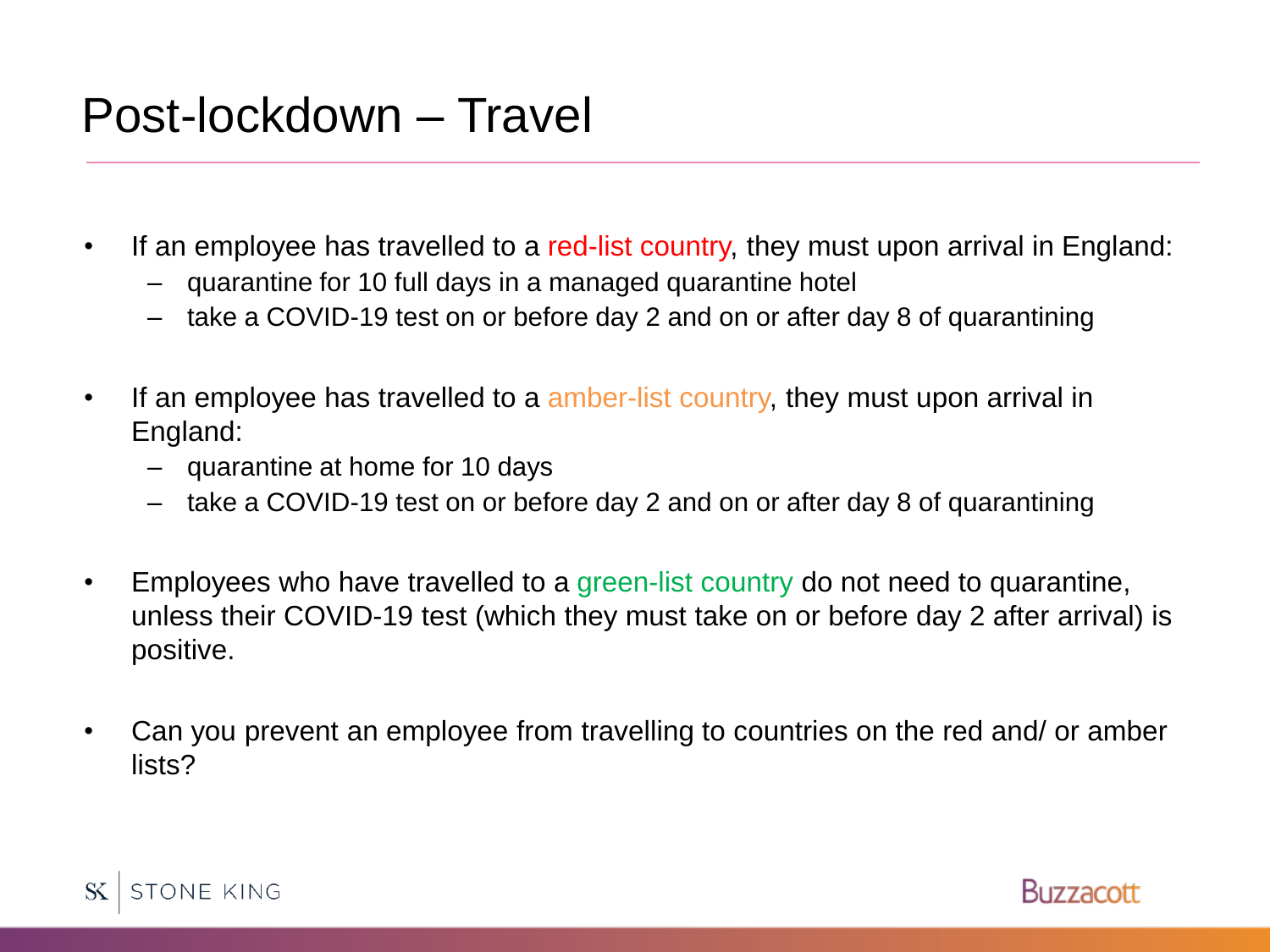#### Post-lockdown – Travel

- If an employee has travelled to a red-list country, they must upon arrival in England:
	- quarantine for 10 full days in a managed quarantine hotel
	- take a COVID-19 test on or before day 2 and on or after day 8 of quarantining
- If an employee has travelled to a amber-list country, they must upon arrival in England:
	- quarantine at home for 10 days
	- take a COVID-19 test on or before day 2 and on or after day 8 of quarantining
- Employees who have travelled to a green-list country do not need to quarantine, unless their COVID-19 test (which they must take on or before day 2 after arrival) is positive.
- Can you prevent an employee from travelling to countries on the red and/ or amber lists?



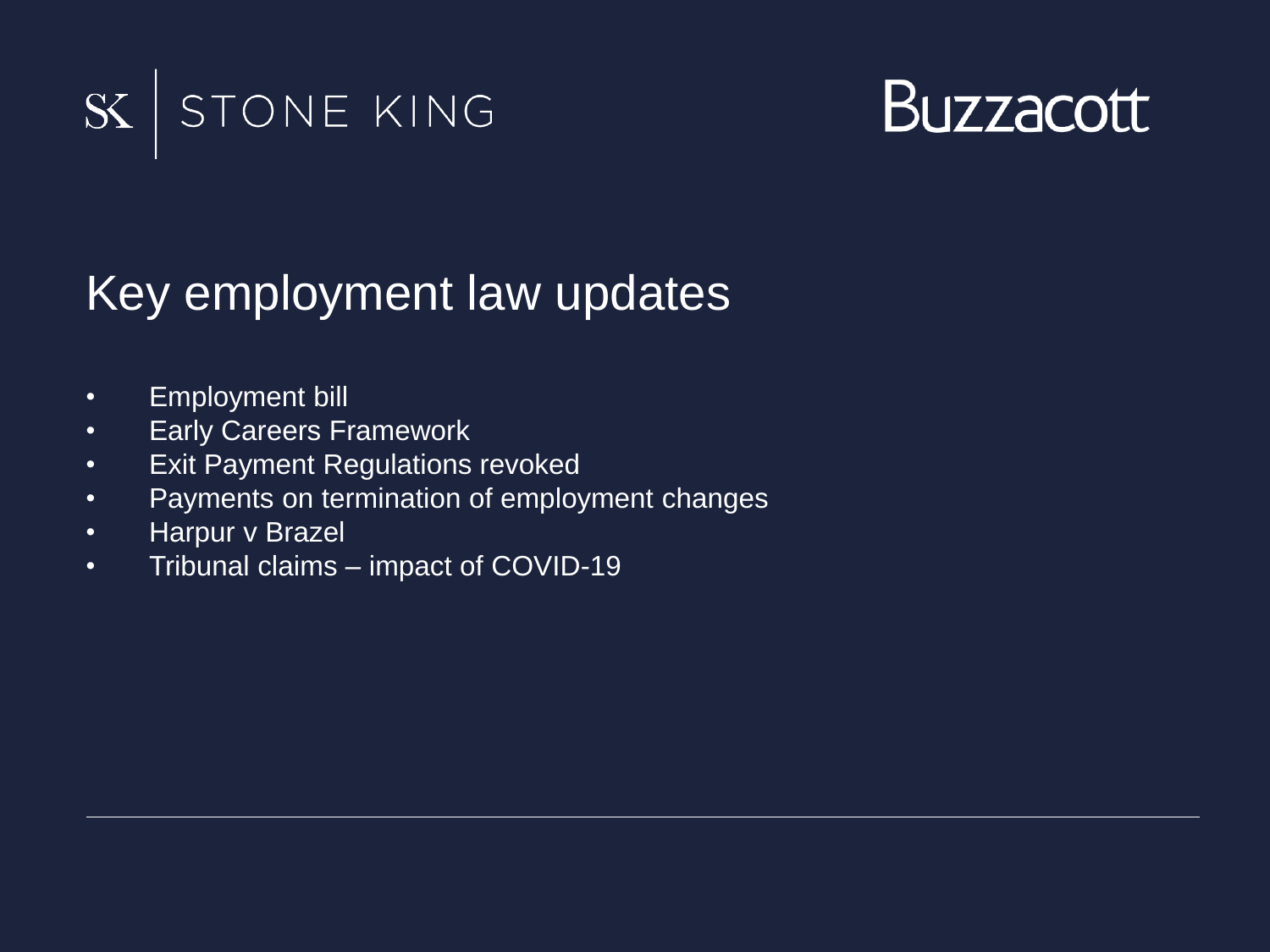



#### Key employment law updates

- Employment bill
- Early Careers Framework
- Exit Payment Regulations revoked
- Payments on termination of employment changes
- Harpur v Brazel
- Tribunal claims impact of COVID-19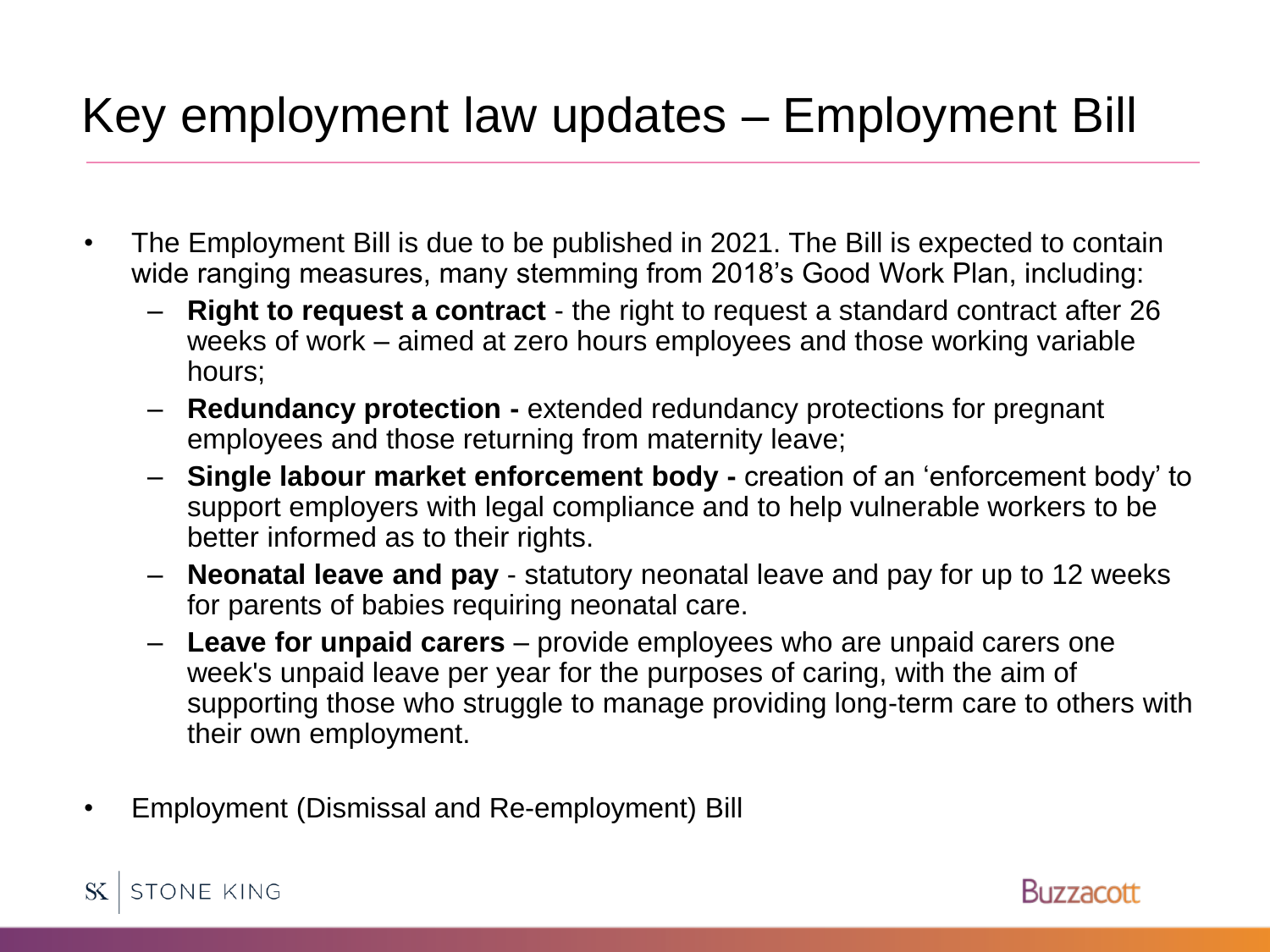# Key employment law updates – Employment Bill

- The Employment Bill is due to be published in 2021. The Bill is expected to contain wide ranging measures, many stemming from 2018's Good Work Plan, including:
	- **Right to request a contract**  the right to request a standard contract after 26 weeks of work – aimed at zero hours employees and those working variable hours;
	- **Redundancy protection -** extended redundancy protections for pregnant employees and those returning from maternity leave;
	- **Single labour market enforcement body -** creation of an 'enforcement body' to support employers with legal compliance and to help vulnerable workers to be better informed as to their rights.
	- **Neonatal leave and pay**  statutory neonatal leave and pay for up to 12 weeks for parents of babies requiring neonatal care.
	- **Leave for unpaid carers** provide employees who are unpaid carers one week's unpaid leave per year for the purposes of caring, with the aim of supporting those who struggle to manage providing long-term care to others with their own employment.
- Employment (Dismissal and Re-employment) Bill



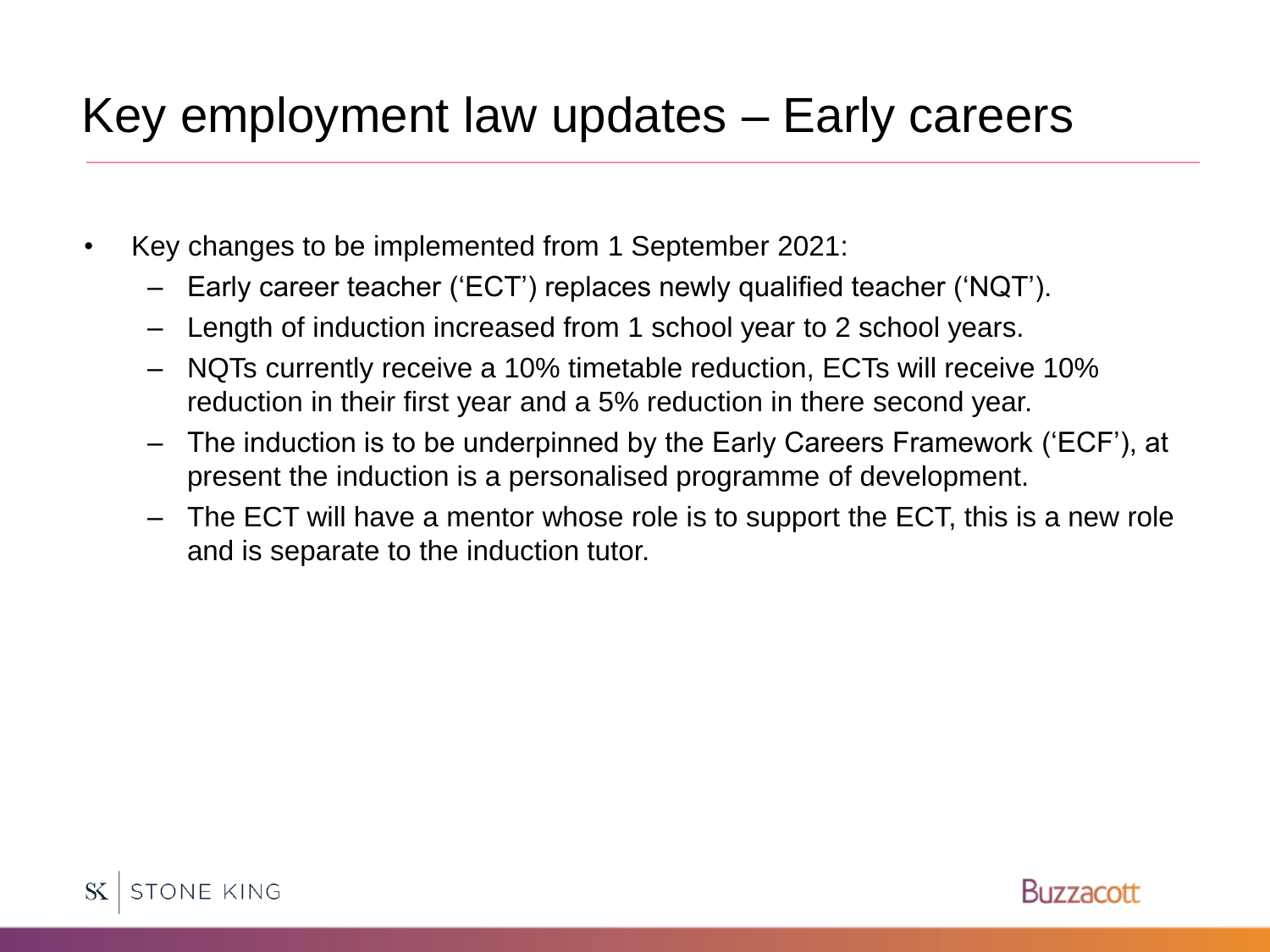# Key employment law updates – Early careers

- Key changes to be implemented from 1 September 2021:
	- Early career teacher ('ECT') replaces newly qualified teacher ('NQT').
	- Length of induction increased from 1 school year to 2 school years.
	- NQTs currently receive a 10% timetable reduction, ECTs will receive 10% reduction in their first year and a 5% reduction in there second year.
	- The induction is to be underpinned by the Early Careers Framework ('ECF'), at present the induction is a personalised programme of development.
	- The ECT will have a mentor whose role is to support the ECT, this is a new role and is separate to the induction tutor.

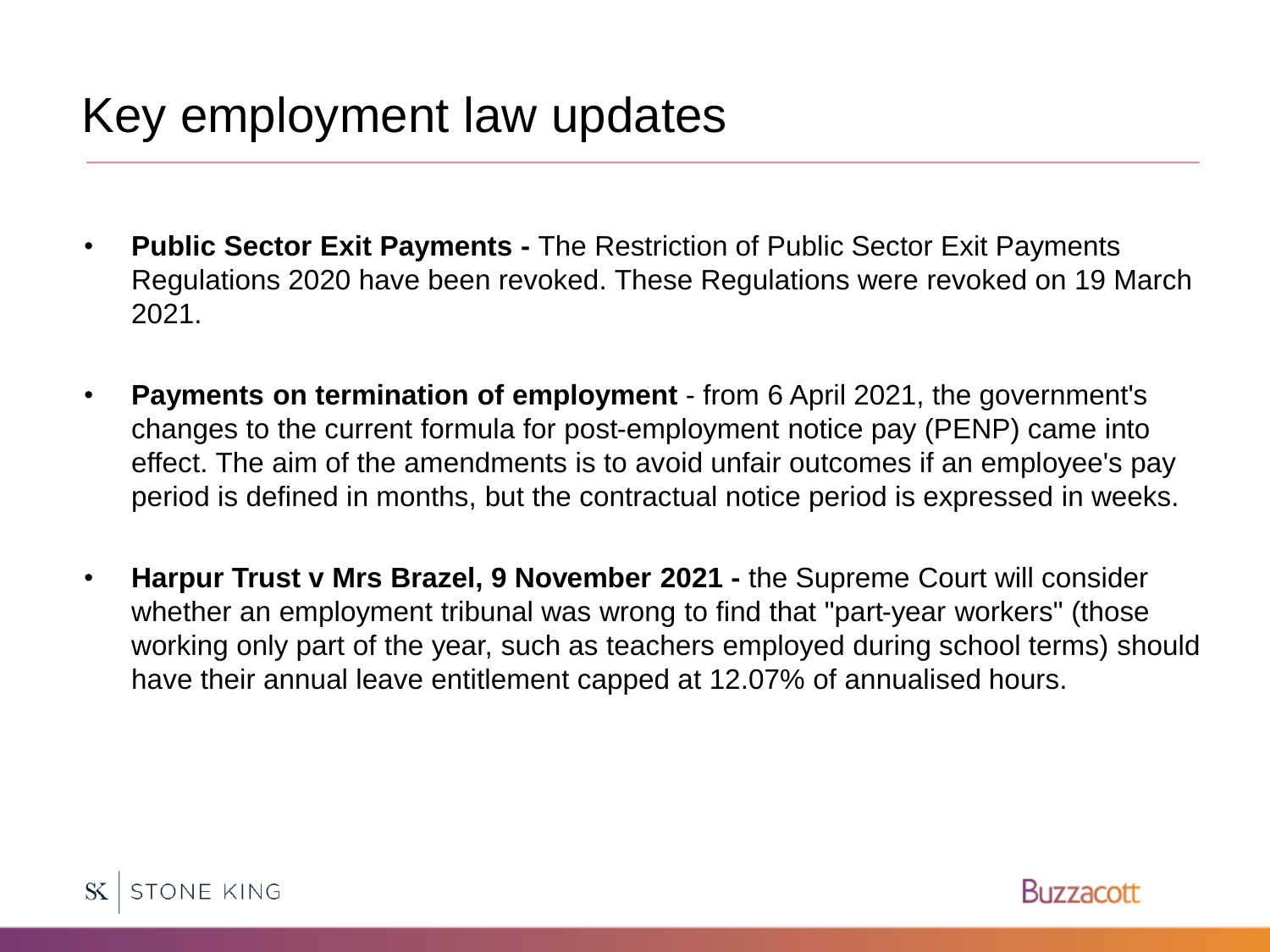# Key employment law updates

- **Public Sector Exit Payments -** The Restriction of Public Sector Exit Payments Regulations 2020 have been revoked. These Regulations were revoked on 19 March 2021.
- **Payments on termination of employment**  from 6 April 2021, the government's changes to the current formula for post-employment notice pay (PENP) came into effect. The aim of the amendments is to avoid unfair outcomes if an employee's pay period is defined in months, but the contractual notice period is expressed in weeks.
- **Harpur Trust v Mrs Brazel, 9 November 2021 -** the Supreme Court will consider whether an employment tribunal was wrong to find that "part-year workers" (those working only part of the year, such as teachers employed during school terms) should have their annual leave entitlement capped at 12.07% of annualised hours.



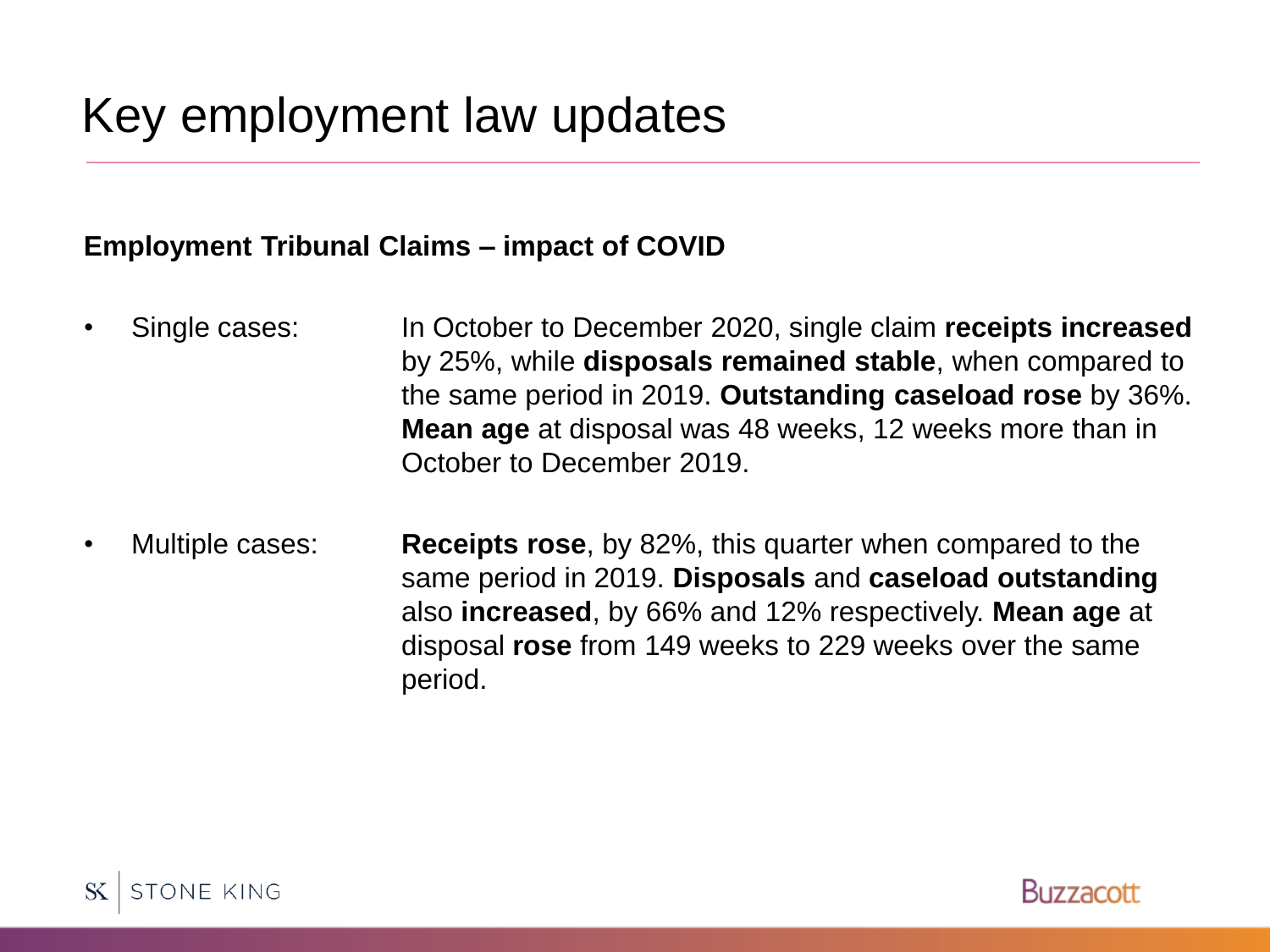#### **Employment Tribunal Claims – impact of COVID**

- Single cases: In October to December 2020, single claim **receipts increased** by 25%, while **disposals remained stable**, when compared to the same period in 2019. **Outstanding caseload rose** by 36%. **Mean age** at disposal was 48 weeks, 12 weeks more than in October to December 2019.
- Multiple cases: **Receipts rose**, by 82%, this quarter when compared to the same period in 2019. **Disposals** and **caseload outstanding** also **increased**, by 66% and 12% respectively. **Mean age** at disposal **rose** from 149 weeks to 229 weeks over the same period.



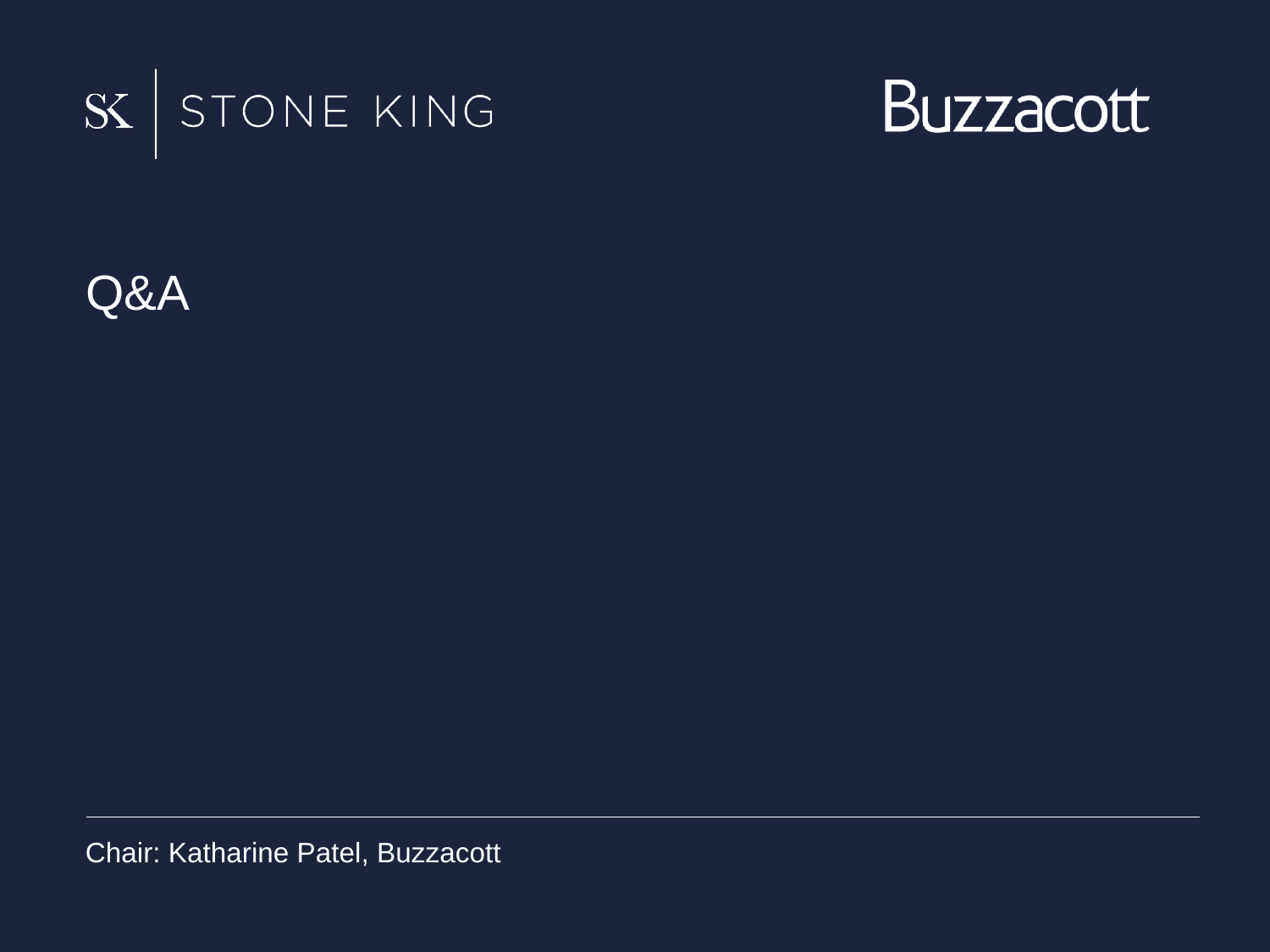



Q&A

Chair: Katharine Patel, Buzzacott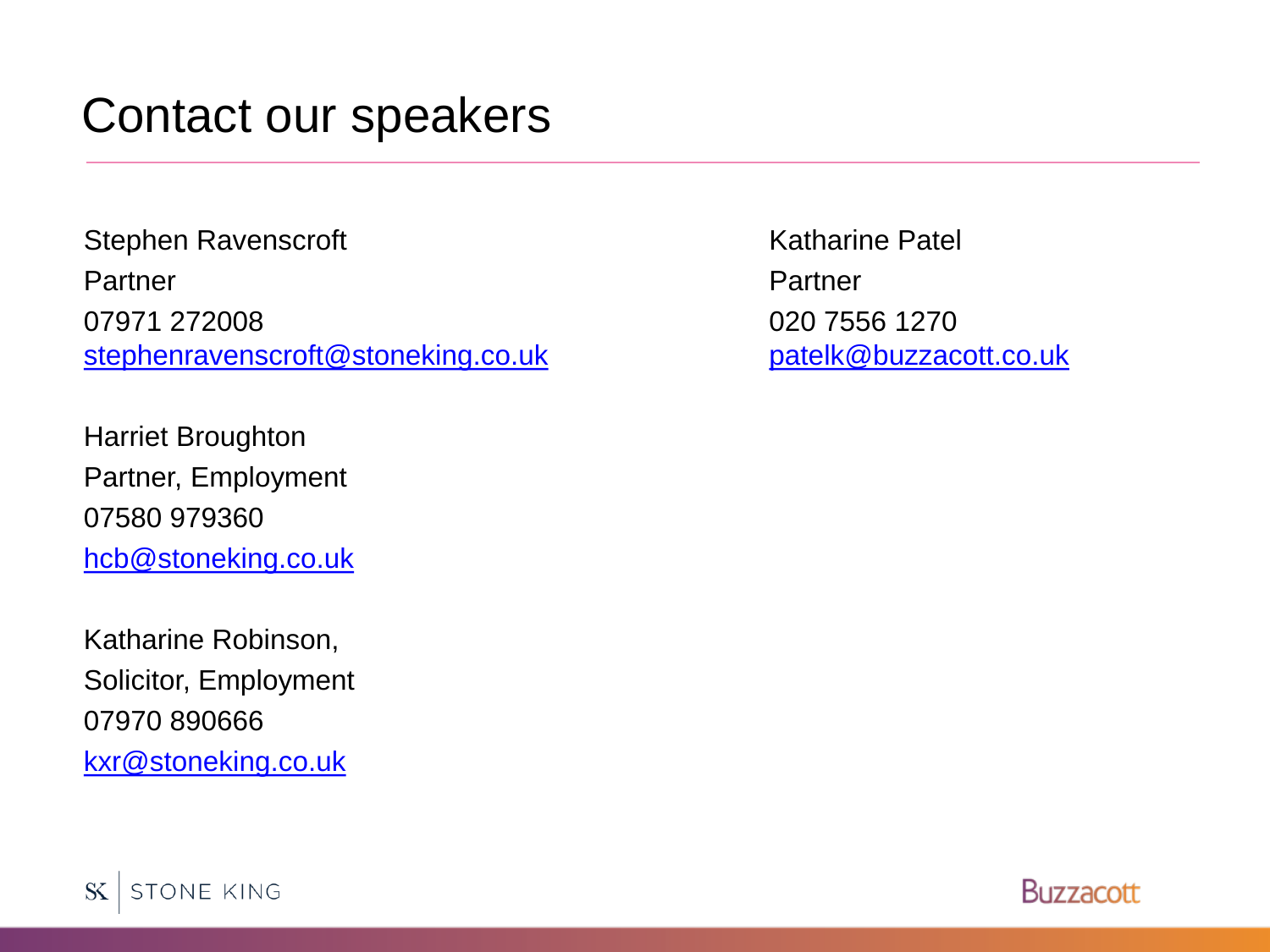#### Contact our speakers

Stephen Ravenscroft Partner 07971 272008 [stephenravenscroft@stoneking.co.uk](mailto:stephenravenscroft@stoneking.co.uk)

Harriet Broughton Partner, Employment 07580 979360 [hcb@stoneking.co.uk](mailto:hcb@stoneking.co.uk)

Katharine Robinson, Solicitor, Employment 07970 890666 [kxr@stoneking.co.uk](mailto:kxr@stoneking.co.uk)

Katharine Patel Partner 020 7556 1270 [patelk@buzzacott.co.uk](mailto:patelk@buzzacott.co.uk)